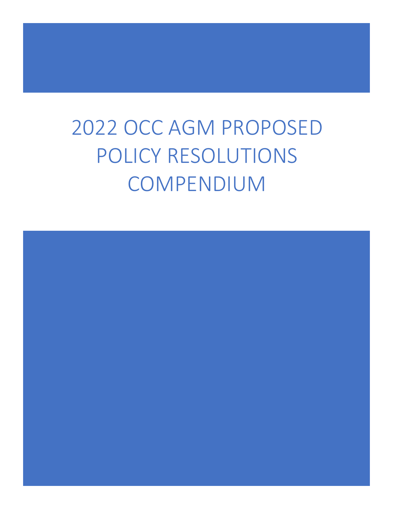# 2022 OCC AGM PROPOSED POLICY RESOLUTIONS COMPENDIUM

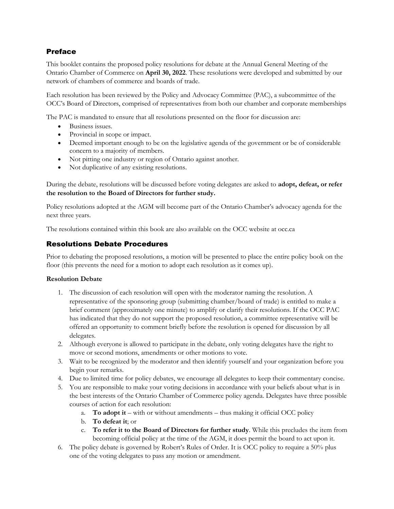# Preface

This booklet contains the proposed policy resolutions for debate at the Annual General Meeting of the Ontario Chamber of Commerce on **April 30, 2022**. These resolutions were developed and submitted by our network of chambers of commerce and boards of trade.

Each resolution has been reviewed by the Policy and Advocacy Committee (PAC), a subcommittee of the OCC's Board of Directors, comprised of representatives from both our chamber and corporate memberships

The PAC is mandated to ensure that all resolutions presented on the floor for discussion are:

- Business issues.
- Provincial in scope or impact.
- Deemed important enough to be on the legislative agenda of the government or be of considerable concern to a majority of members.
- Not pitting one industry or region of Ontario against another.
- Not duplicative of any existing resolutions.

During the debate, resolutions will be discussed before voting delegates are asked to **adopt, defeat, or refer the resolution to the Board of Directors for further study.** 

Policy resolutions adopted at the AGM will become part of the Ontario Chamber's advocacy agenda for the next three years.

The resolutions contained within this book are also available on the OCC website at occ.ca

# Resolutions Debate Procedures

Prior to debating the proposed resolutions, a motion will be presented to place the entire policy book on the floor (this prevents the need for a motion to adopt each resolution as it comes up).

#### **Resolution Debate**

- 1. The discussion of each resolution will open with the moderator naming the resolution. A representative of the sponsoring group (submitting chamber/board of trade) is entitled to make a brief comment (approximately one minute) to amplify or clarify their resolutions. If the OCC PAC has indicated that they do not support the proposed resolution, a committee representative will be offered an opportunity to comment briefly before the resolution is opened for discussion by all delegates.
- 2. Although everyone is allowed to participate in the debate, only voting delegates have the right to move or second motions, amendments or other motions to vote.
- 3. Wait to be recognized by the moderator and then identify yourself and your organization before you begin your remarks.
- 4. Due to limited time for policy debates, we encourage all delegates to keep their commentary concise.
- 5. You are responsible to make your voting decisions in accordance with your beliefs about what is in the best interests of the Ontario Chamber of Commerce policy agenda. Delegates have three possible courses of action for each resolution:
	- a. **To adopt it** with or without amendments thus making it official OCC policy
	- b. **To defeat it**; or
	- c. **To refer it to the Board of Directors for further study**. While this precludes the item from becoming official policy at the time of the AGM, it does permit the board to act upon it.
- 6. The policy debate is governed by Robert's Rules of Order. It is OCC policy to require a 50% plus one of the voting delegates to pass any motion or amendment.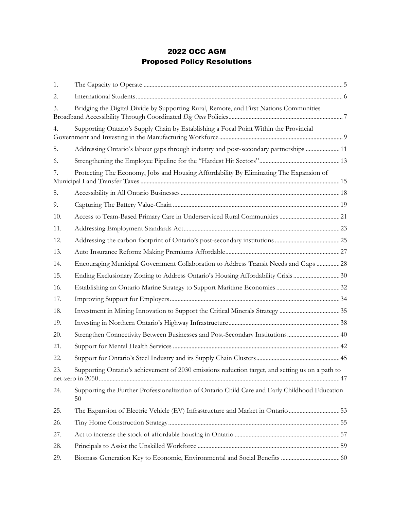# 2022 OCC AGM Proposed Policy Resolutions

| 1.  |                                                                                                      |  |
|-----|------------------------------------------------------------------------------------------------------|--|
| 2.  |                                                                                                      |  |
| 3.  | Bridging the Digital Divide by Supporting Rural, Remote, and First Nations Communities               |  |
| 4.  | Supporting Ontario's Supply Chain by Establishing a Focal Point Within the Provincial                |  |
| 5.  | Addressing Ontario's labour gaps through industry and post-secondary partnerships  11                |  |
| 6.  |                                                                                                      |  |
| 7.  | Protecting The Economy, Jobs and Housing Affordability By Eliminating The Expansion of               |  |
| 8.  |                                                                                                      |  |
| 9.  |                                                                                                      |  |
| 10. |                                                                                                      |  |
| 11. |                                                                                                      |  |
| 12. |                                                                                                      |  |
| 13. |                                                                                                      |  |
| 14. | Encouraging Municipal Government Collaboration to Address Transit Needs and Gaps  28                 |  |
| 15. | Ending Exclusionary Zoning to Address Ontario's Housing Affordability Crisis 30                      |  |
| 16. |                                                                                                      |  |
| 17. |                                                                                                      |  |
| 18. |                                                                                                      |  |
| 19. |                                                                                                      |  |
| 20. | Strengthen Connectivity Between Businesses and Post-Secondary Institutions 40                        |  |
| 21. |                                                                                                      |  |
| 22. |                                                                                                      |  |
| 23. | Supporting Ontario's achievement of 2030 emissions reduction target, and setting us on a path to     |  |
| 24. | Supporting the Further Professionalization of Ontario Child Care and Early Childhood Education<br>50 |  |
| 25. | The Expansion of Electric Vehicle (EV) Infrastructure and Market in Ontario 53                       |  |
| 26. |                                                                                                      |  |
| 27. |                                                                                                      |  |
| 28. |                                                                                                      |  |
| 29. |                                                                                                      |  |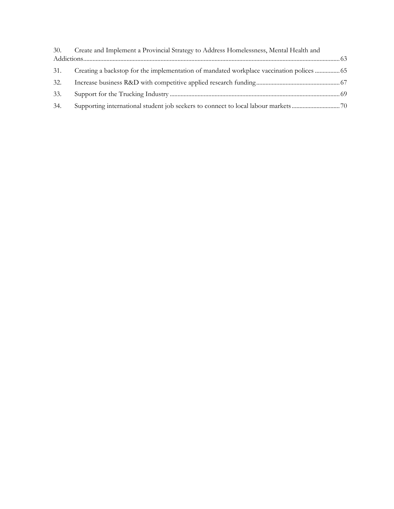|     | 30. Create and Implement a Provincial Strategy to Address Homelessness, Mental Health and |  |
|-----|-------------------------------------------------------------------------------------------|--|
|     |                                                                                           |  |
| 31. | Creating a backstop for the implementation of mandated workplace vaccination polices      |  |
| 32. |                                                                                           |  |
| 33. |                                                                                           |  |
| 34. |                                                                                           |  |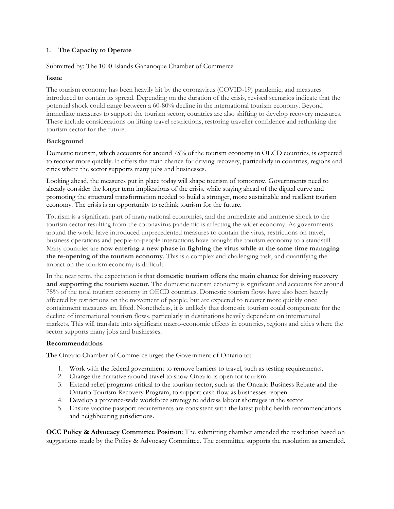# <span id="page-4-0"></span>**1. The Capacity to Operate**

#### Submitted by: The 1000 Islands Gananoque Chamber of Commerce

#### **Issue**

The tourism economy has been heavily hit by the coronavirus (COVID-19) pandemic, and measures introduced to contain its spread. Depending on the duration of the crisis, revised scenarios indicate that the potential shock could range between a 60-80% decline in the international tourism economy. Beyond immediate measures to support the tourism sector, countries are also shifting to develop recovery measures. These include considerations on lifting travel restrictions, restoring traveller confidence and rethinking the tourism sector for the future.

#### **Background**

Domestic tourism, which accounts for around 75% of the tourism economy in OECD countries, is expected to recover more quickly. It offers the main chance for driving recovery, particularly in countries, regions and cities where the sector supports many jobs and businesses.

Looking ahead, the measures put in place today will shape tourism of tomorrow. Governments need to already consider the longer term implications of the crisis, while staying ahead of the digital curve and promoting the structural transformation needed to build a stronger, more sustainable and resilient tourism economy. The crisis is an opportunity to rethink tourism for the future.

Tourism is a significant part of many national economies, and the immediate and immense shock to the tourism sector resulting from the coronavirus pandemic is affecting the wider economy. As governments around the world have introduced unprecedented measures to contain the virus, restrictions on travel, business operations and people-to-people interactions have brought the tourism economy to a standstill. Many countries are **now entering a new phase in fighting the virus while at the same time managing the re-opening of the tourism economy**. This is a complex and challenging task, and quantifying the impact on the tourism economy is difficult.

In the near term, the expectation is that **domestic touris[m](https://www.oecd.org/coronavirus/policy-responses/tourism-policy-responses-to-the-coronavirus-covid-19-6466aa20/#endnotea0z3) offers the main chance for driving recovery and supporting the tourism sector.** The domestic tourism economy is significant and accounts for around 75% of the total tourism economy in OECD countries. Domestic tourism flows have also been heavily affected by restrictions on the movement of people, but are expected to recover more quickly once containment measures are lifted. Nonetheless, it is unlikely that domestic tourism could compensate for the decline of international tourism flows, particularly in destinations heavily dependent on international markets. This will translate into significant macro-economic effects in countries, regions and cities where the sector supports many jobs and businesses.

#### **Recommendations**

The Ontario Chamber of Commerce urges the Government of Ontario to:

- 1. Work with the federal government to remove barriers to travel, such as testing requirements.
- 2. Change the narrative around travel to show Ontario is open for tourism.
- 3. Extend relief programs critical to the tourism sector, such as the Ontario Business Rebate and the Ontario Tourism Recovery Program, to support cash flow as businesses reopen.
- 4. Develop a province-wide workforce strategy to address labour shortages in the sector.
- 5. Ensure vaccine passport requirements are consistent with the latest public health recommendations and neighbouring jurisdictions.

**OCC Policy & Advocacy Committee Position**: The submitting chamber amended the resolution based on suggestions made by the Policy & Advocacy Committee. The committee supports the resolution as amended.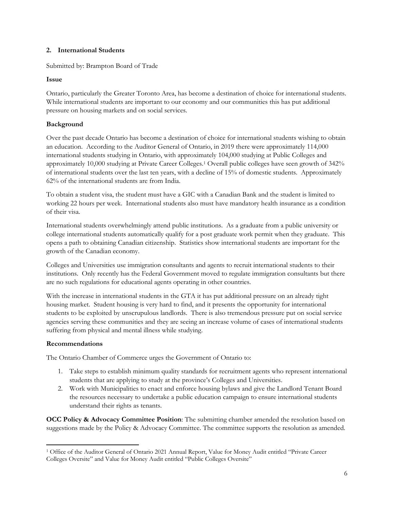#### <span id="page-5-0"></span>**2. International Students**

Submitted by: Brampton Board of Trade

#### **Issue**

Ontario, particularly the Greater Toronto Area, has become a destination of choice for international students. While international students are important to our economy and our communities this has put additional pressure on housing markets and on social services.

# **Background**

Over the past decade Ontario has become a destination of choice for international students wishing to obtain an education. According to the Auditor General of Ontario, in 2019 there were approximately 114,000 international students studying in Ontario, with approximately 104,000 studying at Public Colleges and approximately 10,000 studying at Private Career Colleges.<sup>1</sup> Overall public colleges have seen growth of 342% of international students over the last ten years, with a decline of 15% of domestic students. Approximately 62% of the international students are from India.

To obtain a student visa, the student must have a GIC with a Canadian Bank and the student is limited to working 22 hours per week. International students also must have mandatory health insurance as a condition of their visa.

International students overwhelmingly attend public institutions. As a graduate from a public university or college international students automatically qualify for a post graduate work permit when they graduate. This opens a path to obtaining Canadian citizenship. Statistics show international students are important for the growth of the Canadian economy.

Colleges and Universities use immigration consultants and agents to recruit international students to their institutions. Only recently has the Federal Government moved to regulate immigration consultants but there are no such regulations for educational agents operating in other countries.

With the increase in international students in the GTA it has put additional pressure on an already tight housing market. Student housing is very hard to find, and it presents the opportunity for international students to be exploited by unscrupulous landlords. There is also tremendous pressure put on social service agencies serving these communities and they are seeing an increase volume of cases of international students suffering from physical and mental illness while studying.

#### **Recommendations**

The Ontario Chamber of Commerce urges the Government of Ontario to:

- 1. Take steps to establish minimum quality standards for recruitment agents who represent international students that are applying to study at the province's Colleges and Universities.
- 2. Work with Municipalities to enact and enforce housing bylaws and give the Landlord Tenant Board the resources necessary to undertake a public education campaign to ensure international students understand their rights as tenants.

**OCC Policy & Advocacy Committee Position**: The submitting chamber amended the resolution based on suggestions made by the Policy & Advocacy Committee. The committee supports the resolution as amended.

<sup>1</sup> Office of the Auditor General of Ontario 2021 Annual Report, Value for Money Audit entitled "Private Career Colleges Oversite" and Value for Money Audit entitled "Public Colleges Oversite"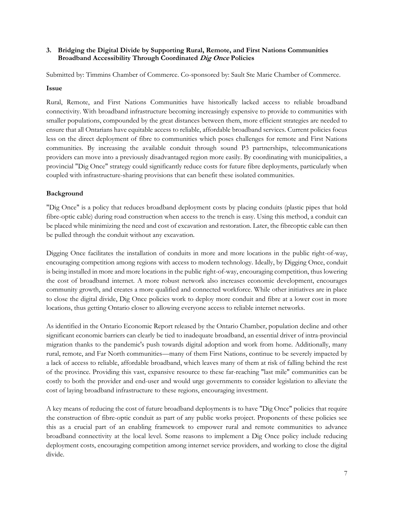#### <span id="page-6-0"></span>**3. Bridging the Digital Divide by Supporting Rural, Remote, and First Nations Communities Broadband Accessibility Through Coordinated Dig Once Policies**

Submitted by: Timmins Chamber of Commerce. Co-sponsored by: Sault Ste Marie Chamber of Commerce.

#### **Issue**

Rural, Remote, and First Nations Communities have historically lacked access to reliable broadband connectivity. With broadband infrastructure becoming increasingly expensive to provide to communities with smaller populations, compounded by the great distances between them, more efficient strategies are needed to ensure that all Ontarians have equitable access to reliable, affordable broadband services. Current policies focus less on the direct deployment of fibre to communities which poses challenges for remote and First Nations communities. By increasing the available conduit through sound P3 partnerships, telecommunications providers can move into a previously disadvantaged region more easily. By coordinating with municipalities, a provincial "Dig Once" strategy could significantly reduce costs for future fibre deployments, particularly when coupled with infrastructure-sharing provisions that can benefit these isolated communities.

#### **Background**

"Dig Once" is a policy that reduces broadband deployment costs by placing conduits (plastic pipes that hold fibre-optic cable) during road construction when access to the trench is easy. Using this method, a conduit can be placed while minimizing the need and cost of excavation and restoration. Later, the fibreoptic cable can then be pulled through the conduit without any excavation.

Digging Once facilitates the installation of conduits in more and more locations in the public right-of-way, encouraging competition among regions with access to modern technology. Ideally, by Digging Once, conduit is being installed in more and more locations in the public right-of-way, encouraging competition, thus lowering the cost of broadband internet. A more robust network also increases economic development, encourages community growth, and creates a more qualified and connected workforce. While other initiatives are in place to close the digital divide, Dig Once policies work to deploy more conduit and fibre at a lower cost in more locations, thus getting Ontario closer to allowing everyone access to reliable internet networks.

As identified in the Ontario Economic Report released by the Ontario Chamber, population decline and other significant economic barriers can clearly be tied to inadequate broadband, an essential driver of intra-provincial migration thanks to the pandemic's push towards digital adoption and work from home. Additionally, many rural, remote, and Far North communities—many of them First Nations, continue to be severely impacted by a lack of access to reliable, affordable broadband, which leaves many of them at risk of falling behind the rest of the province. Providing this vast, expansive resource to these far-reaching "last mile" communities can be costly to both the provider and end-user and would urge governments to consider legislation to alleviate the cost of laying broadband infrastructure to these regions, encouraging investment.

A key means of reducing the cost of future broadband deployments is to have "Dig Once" policies that require the construction of fibre-optic conduit as part of any public works project. Proponents of these policies see this as a crucial part of an enabling framework to empower rural and remote communities to advance broadband connectivity at the local level. Some reasons to implement a Dig Once policy include reducing deployment costs, encouraging competition among internet service providers, and working to close the digital divide.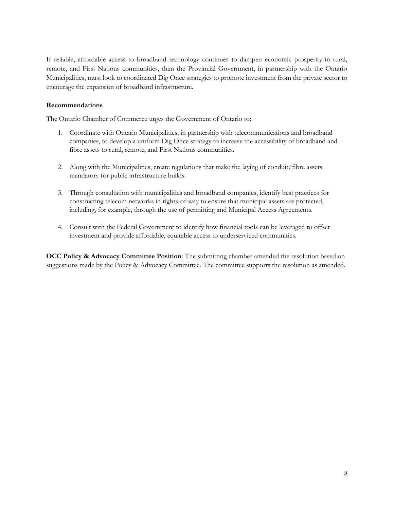If reliable, affordable access to broadband technology continues to dampen economic prosperity in rural, remote, and First Nations communities, then the Provincial Government, in partnership with the Ontario Municipalities, must look to coordinated Dig Once strategies to promote investment from the private sector to encourage the expansion of broadband infrastructure.

#### **Recommendations**

The Ontario Chamber of Commerce urges the Government of Ontario to:

- 1. Coordinate with Ontario Municipalities, in partnership with telecommunications and broadband companies, to develop a uniform Dig Once strategy to increase the accessibility of broadband and fibre assets to rural, remote, and First Nations communities.
- 2. Along with the Municipalities, create regulations that make the laying of conduit/fibre assets mandatory for public infrastructure builds.
- 3. Through consultation with municipalities and broadband companies, identify best practices for constructing telecom networks in rights-of-way to ensure that municipal assets are protected, including, for example, through the use of permitting and Municipal Access Agreements.
- 4. Consult with the Federal Government to identify how financial tools can be leveraged to offset investment and provide affordable, equitable access to underserviced communities.

**OCC Policy & Advocacy Committee Position**: The submitting chamber amended the resolution based on suggestions made by the Policy & Advocacy Committee. The committee supports the resolution as amended.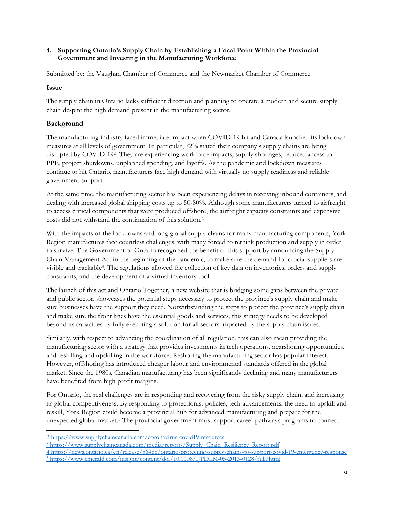#### <span id="page-8-0"></span>**4. Supporting Ontario's Supply Chain by Establishing a Focal Point Within the Provincial Government and Investing in the Manufacturing Workforce**

Submitted by: the Vaughan Chamber of Commerce and the Newmarket Chamber of Commerce

#### **Issue**

The supply chain in Ontario lacks sufficient direction and planning to operate a modern and secure supply chain despite the high demand present in the manufacturing sector.

# **Background**

The manufacturing industry faced immediate impact when COVID-19 hit and Canada launched its lockdown measures at all levels of government. In particular, 72% stated their company's supply chains are being disrupted by COVID-19<sup>2</sup> . They are experiencing workforce impacts, supply shortages, reduced access to PPE, project shutdowns, unplanned spending, and layoffs. As the pandemic and lockdown measures continue to hit Ontario, manufacturers face high demand with virtually no supply readiness and reliable government support.

At the same time, the manufacturing sector has been experiencing delays in receiving inbound containers, and dealing with increased global shipping costs up to 50-80%. Although some manufacturers turned to airfreight to access critical components that were produced offshore, the airfreight capacity constraints and expensive costs did not withstand the continuation of this solution.<sup>3</sup>

With the impacts of the lockdowns and long global supply chains for many manufacturing components, York Region manufactures face countless challenges, with many forced to rethink production and supply in order to survive. The Government of Ontario recognized the benefit of this support by announcing the Supply Chain Management Act in the beginning of the pandemic, to make sure the demand for crucial suppliers are visible and trackable<sup>4</sup>. The regulations allowed the collection of key data on inventories, orders and supply constraints, and the development of a virtual inventory tool.

The launch of this act and Ontario Together, a new website that is bridging some gaps between the private and public sector, showcases the potential steps necessary to protect the province's supply chain and make sure businesses have the support they need. Notwithstanding the steps to protect the province's supply chain and make sure the front lines have the essential goods and services, this strategy needs to be developed beyond its capacities by fully executing a solution for all sectors impacted by the supply chain issues.

Similarly, with respect to advancing the coordination of all regulation, this can also mean providing the manufacturing sector with a strategy that provides investments in tech operations, nearshoring opportunities, and reskilling and upskilling in the workforce. Reshoring the manufacturing sector has popular interest. However, offshoring has introduced cheaper labour and environmental standards offered in the global market. Since the 1980s, Canadian manufacturing has been significantly declining and many manufacturers have benefited from high profit margins.

For Ontario, the real challenges are in responding and recovering from the risky supply chain, and increasing its global competitiveness. By responding to protectionist policies, tech advancements, the need to upskill and reskill, York Region could become a provincial hub for advanced manufacturing and prepare for the unexpected global market.<sup>5</sup> The provincial government must support career pathways programs to connect

<sup>2</sup> <https://www.supplychaincanada.com/coronavirus-covid19-resources>

<sup>&</sup>lt;sup>3</sup> [https://www.supplychaincanada.com/media/reports/Supply\\_Chain\\_Resiliency\\_Report.pdf](https://www.supplychaincanada.com/media/reports/Supply_Chain_Resiliency_Report.pdf)

<sup>4</sup> <https://news.ontario.ca/en/release/56488/ontario-protecting-supply-chains-to-support-covid-19-emergency-response> <sup>5</sup> <https://www.emerald.com/insight/content/doi/10.1108/IJPDLM-05-2013-0128/full/html>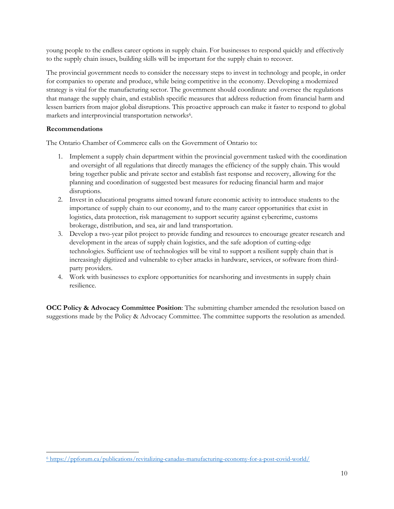young people to the endless career options in supply chain. For businesses to respond quickly and effectively to the supply chain issues, building skills will be important for the supply chain to recover.

The provincial government needs to consider the necessary steps to invest in technology and people, in order for companies to operate and produce, while being competitive in the economy. Developing a modernized strategy is vital for the manufacturing sector. The government should coordinate and oversee the regulations that manage the supply chain, and establish specific measures that address reduction from financial harm and lessen barriers from major global disruptions. This proactive approach can make it faster to respond to global markets and interprovincial transportation networks<sup>6</sup>.

# **Recommendations**

The Ontario Chamber of Commerce calls on the Government of Ontario to:

- 1. Implement a supply chain department within the provincial government tasked with the coordination and oversight of all regulations that directly manages the efficiency of the supply chain. This would bring together public and private sector and establish fast response and recovery, allowing for the planning and coordination of suggested best measures for reducing financial harm and major disruptions.
- 2. Invest in educational programs aimed toward future economic activity to introduce students to the importance of supply chain to our economy, and to the many career opportunities that exist in logistics, data protection, risk management to support security against cybercrime, customs brokerage, distribution, and sea, air and land transportation.
- 3. Develop a two-year pilot project to provide funding and resources to encourage greater research and development in the areas of supply chain logistics, and the safe adoption of cutting-edge technologies. Sufficient use of technologies will be vital to support a resilient supply chain that is increasingly digitized and vulnerable to cyber attacks in hardware, services, or software from thirdparty providers.
- 4. Work with businesses to explore opportunities for nearshoring and investments in supply chain resilience.

**OCC Policy & Advocacy Committee Position**: The submitting chamber amended the resolution based on suggestions made by the Policy & Advocacy Committee. The committee supports the resolution as amended.

<sup>6</sup> <https://ppforum.ca/publications/revitalizing-canadas-manufacturing-economy-for-a-post-covid-world/>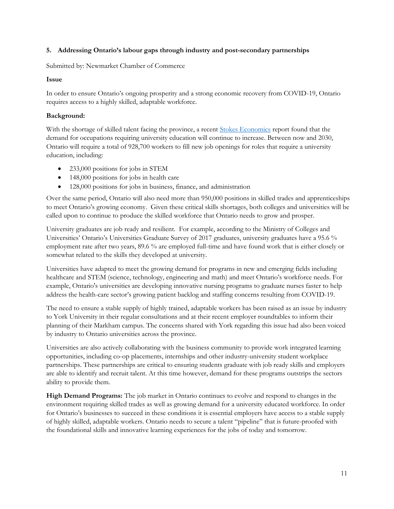#### <span id="page-10-0"></span>**5. Addressing Ontario's labour gaps through industry and post-secondary partnerships**

Submitted by: Newmarket Chamber of Commerce

#### **Issue**

In order to ensure Ontario's ongoing prosperity and a strong economic recovery from COVID-19, Ontario requires access to a highly skilled, adaptable workforce.

# **Background:**

With the shortage of skilled talent facing the province, a recent [Stokes Economics](https://ontariosuniversities.ca/wp-content/uploads/2021/12/Ontario-Future-Labour-Force-Needs-Study.pdf) report found that the demand for occupations requiring university education will continue to increase. Between now and 2030, Ontario will require a total of 928,700 workers to fill new job openings for roles that require a university education, including:

- 233,000 positions for jobs in STEM
- 148,000 positions for jobs in health care
- 128,000 positions for jobs in business, finance, and administration

Over the same period, Ontario will also need more than 950,000 positions in skilled trades and apprenticeships to meet Ontario's growing economy. Given these critical skills shortages, both colleges and universities will be called upon to continue to produce the skilled workforce that Ontario needs to grow and prosper.

University graduates are job ready and resilient. For example, according to the Ministry of Colleges and Universities' Ontario's Universities Graduate Survey of 2017 graduates, university graduates have a 95.6 % employment rate after two years, 89.6 % are employed full-time and have found work that is either closely or somewhat related to the skills they developed at university.

Universities have adapted to meet the growing demand for programs in new and emerging fields including healthcare and STEM (science, technology, engineering and math) and meet Ontario's workforce needs. For example, Ontario's universities are developing innovative nursing programs to graduate nurses faster to help address the health-care sector's growing patient backlog and staffing concerns resulting from COVID-19.

The need to ensure a stable supply of highly trained, adaptable workers has been raised as an issue by industry to York University in their regular consultations and at their recent employer roundtables to inform their planning of their Markham campus. The concerns shared with York regarding this issue had also been voiced by industry to Ontario universities across the province.

Universities are also actively collaborating with the business community to provide work integrated learning opportunities, including co-op placements, internships and other industry-university student workplace partnerships. These partnerships are critical to ensuring students graduate with job ready skills and employers are able to identify and recruit talent. At this time however, demand for these programs outstrips the sectors ability to provide them.

**High Demand Programs:** The job market in Ontario continues to evolve and respond to changes in the environment requiring skilled trades as well as growing demand for a university educated workforce. In order for Ontario's businesses to succeed in these conditions it is essential employers have access to a stable supply of highly skilled, adaptable workers. Ontario needs to secure a talent "pipeline" that is future-proofed with the foundational skills and innovative learning experiences for the jobs of today and tomorrow.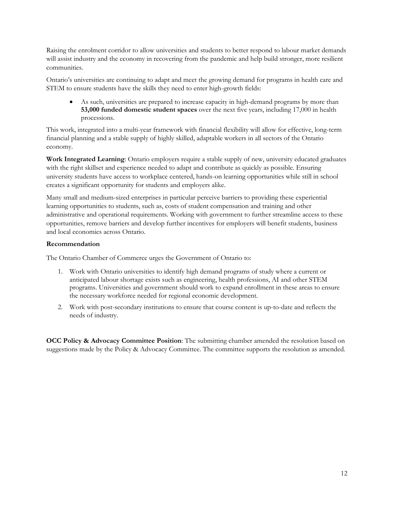Raising the enrolment corridor to allow universities and students to better respond to labour market demands will assist industry and the economy in recovering from the pandemic and help build stronger, more resilient communities.

Ontario's universities are continuing to adapt and meet the growing demand for programs in health care and STEM to ensure students have the skills they need to enter high-growth fields:

• As such, universities are prepared to increase capacity in high-demand programs by more than **53,000 funded domestic student spaces** over the next five years, including 17,000 in health processions.

This work, integrated into a multi-year framework with financial flexibility will allow for effective, long-term financial planning and a stable supply of highly skilled, adaptable workers in all sectors of the Ontario economy.

**Work Integrated Learning**: Ontario employers require a stable supply of new, university educated graduates with the right skillset and experience needed to adapt and contribute as quickly as possible. Ensuring university students have access to workplace centered, hands-on learning opportunities while still in school creates a significant opportunity for students and employers alike.

Many small and medium-sized enterprises in particular perceive barriers to providing these experiential learning opportunities to students, such as, costs of student compensation and training and other administrative and operational requirements. Working with government to further streamline access to these opportunities, remove barriers and develop further incentives for employers will benefit students, business and local economies across Ontario.

# **Recommendation**

The Ontario Chamber of Commerce urges the Government of Ontario to:

- 1. Work with Ontario universities to identify high demand programs of study where a current or anticipated labour shortage exists such as engineering, health professions, AI and other STEM programs. Universities and government should work to expand enrollment in these areas to ensure the necessary workforce needed for regional economic development.
- 2. Work with post-secondary institutions to ensure that course content is up-to-date and reflects the needs of industry.

**OCC Policy & Advocacy Committee Position**: The submitting chamber amended the resolution based on suggestions made by the Policy & Advocacy Committee. The committee supports the resolution as amended.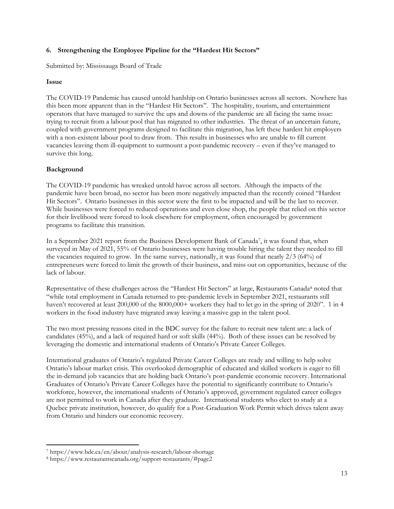#### <span id="page-12-0"></span>**6. Strengthening the Employee Pipeline for the "Hardest Hit Sectors"**

Submitted by: Mississauga Board of Trade

#### **Issue**

The COVID-19 Pandemic has caused untold hardship on Ontario businesses across all sectors. Nowhere has this been more apparent than in the "Hardest Hit Sectors". The hospitality, tourism, and entertainment operators that have managed to survive the ups and downs of the pandemic are all facing the same issue: trying to recruit from a labour pool that has migrated to other industries. The threat of an uncertain future, coupled with government programs designed to facilitate this migration, has left these hardest hit employers with a non-existent labour pool to draw from. This results in businesses who are unable to fill current vacancies leaving them ill-equipment to surmount a post-pandemic recovery – even if they've managed to survive this long.

# **Background**

The COVID-19 pandemic has wreaked untold havoc across all sectors. Although the impacts of the pandemic have been broad, no sector has been more negatively impacted than the recently coined "Hardest Hit Sectors". Ontario businesses in this sector were the first to be impacted and will be the last to recover. While businesses were forced to reduced operations and even close shop, the people that relied on this sector for their livelihood were forced to look elsewhere for employment, often encouraged by government programs to facilitate this transition.

In a September 2021 report from the Business Development Bank of Canada<sup>7</sup>, it was found that, when surveyed in May of 2021, 55% of Ontario businesses were having trouble hiring the talent they needed to fill the vacancies required to grow. In the same survey, nationally, it was found that nearly 2/3 (64%) of entrepreneurs were forced to limit the growth of their business, and miss out on opportunities, because of the lack of labour.

Representative of these challenges across the "Hardest Hit Sectors" at large, Restaurants Canada<sup>8</sup> noted that "while total employment in Canada returned to pre-pandemic levels in September 2021, restaurants still haven't recovered at least 200,000 of the 8000,000+ workers they had to let go in the spring of 2020". 1 in 4 workers in the food industry have migrated away leaving a massive gap in the talent pool.

The two most pressing reasons cited in the BDC survey for the failure to recruit new talent are: a lack of candidates (45%), and a lack of required hard or soft skills (44%). Both of these issues can be resolved by leveraging the domestic and international students of Ontario's Private Career Colleges.

International graduates of Ontario's regulated Private Career Colleges are ready and willing to help solve Ontario's labour market crisis. This overlooked demographic of educated and skilled workers is eager to fill the in-demand job vacancies that are holding back Ontario's post-pandemic economic recovery. International Graduates of Ontario's Private Career Colleges have the potential to significantly contribute to Ontario's workforce, however, the international students of Ontario's approved, government regulated career colleges are not permitted to work in Canada after they graduate. International students who elect to study at a Quebec private institution, however, do qualify for a Post-Graduation Work Permit which drives talent away from Ontario and hinders our economic recovery.

<sup>7</sup> https://www.bdc.ca/en/about/analysis-research/labour-shortage

<sup>8</sup> https://www.restaurantscanada.org/support-restaurants/#page2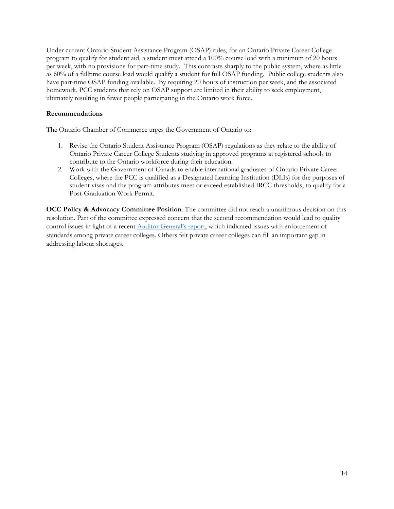Under current Ontario Student Assistance Program (OSAP) rules, for an Ontario Private Career College program to qualify for student aid, a student must attend a 100% course load with a minimum of 20 hours per week, with no provisions for part-time study. This contrasts sharply to the public system, where as little as 60% of a fulltime course load would qualify a student for full OSAP funding. Public college students also have part-time OSAP funding available. By requiring 20 hours of instruction per week, and the associated homework, PCC students that rely on OSAP support are limited in their ability to seek employment, ultimately resulting in fewer people participating in the Ontario work force.

#### **Recommendations**

The Ontario Chamber of Commerce urges the Government of Ontario to:

- 1. Revise the Ontario Student Assistance Program (OSAP) regulations as they relate to the ability of Ontario Private Career College Students studying in approved programs at registered schools to contribute to the Ontario workforce during their education.
- 2. Work with the Government of Canada to enable international graduates of Ontario Private Career Colleges, where the PCC is qualified as a Designated Learning Institution (DLIs) for the purposes of student visas and the program attributes meet or exceed established IRCC thresholds, to qualify for a Post-Graduation Work Permit.

**OCC Policy & Advocacy Committee Position**: The committee did not reach a unanimous decision on this resolution. Part of the committee expressed concern that the second recommendation would lead to quality control issues in light of a recent [Auditor General's report](https://www.auditor.on.ca/en/content/annualreports/arreports/en21/AR_PrivateColleges_en21.pdf), which indicated issues with enforcement of standards among private career colleges. Others felt private career colleges can fill an important gap in addressing labour shortages.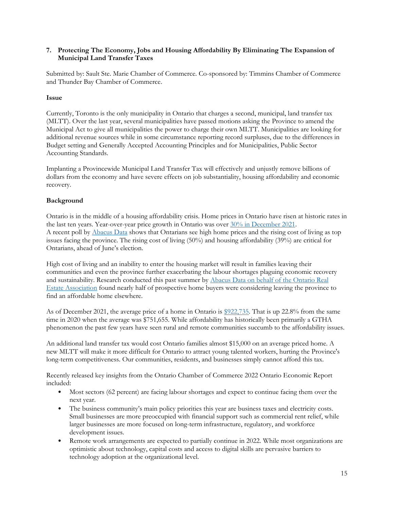#### <span id="page-14-0"></span>**7. Protecting The Economy, Jobs and Housing Affordability By Eliminating The Expansion of Municipal Land Transfer Taxes**

Submitted by: Sault Ste. Marie Chamber of Commerce. Co-sponsored by: Timmins Chamber of Commerce and Thunder Bay Chamber of Commerce.

#### **Issue**

Currently, Toronto is the only municipality in Ontario that charges a second, municipal, land transfer tax (MLTT). Over the last year, several municipalities have passed motions asking the Province to amend the Municipal Act to give all municipalities the power to charge their own MLTT. Municipalities are looking for additional revenue sources while in some circumstance reporting record surpluses, due to the differences in Budget setting and Generally Accepted Accounting Principles and for Municipalities, Public Sector Accounting Standards.

Implanting a Provincewide Municipal Land Transfer Tax will effectively and unjustly remove billions of dollars from the economy and have severe effects on job substantiality, housing affordability and economic recovery.

#### **Background**

Ontario is in the middle of a housing affordability crisis. Home prices in Ontario have risen at historic rates in the last ten years. Year-over-year price growth in Ontario was over  $30\%$  [in December 2021.](https://creastats.crea.ca/en-CA/) A recent poll by [Abacus Data](https://abacusdata.ca/ontario-politics-pcs-ford-lead-january-2022-onpoli/) shows that Ontarians see high home prices and the rising cost of living as top issues facing the province. The rising cost of living (50%) and housing affordability (39%) are critical for Ontarians, ahead of June's election.

High cost of living and an inability to enter the housing market will result in families leaving their communities and even the province further exacerbating the labour shortages plaguing economic recovery and sustainability. Research conducted this past summer by [Abacus Data on behalf of the Ontario Real](file:///C:/Users/mikem/Downloads/orea.com/News-and-Events/News-and-Press-Releases/Press-Releases/July-13-2021)  [Estate Association](file:///C:/Users/mikem/Downloads/orea.com/News-and-Events/News-and-Press-Releases/Press-Releases/July-13-2021) found nearly half of prospective home buyers were considering leaving the province to find an affordable home elsewhere.

As of December 2021, the average price of a home in Ontario is [\\$922,735.](https://www.crea.ca/housing-market-stats/national-price-map/) That is up 22.8% from the same time in 2020 when the average was \$751,655. While affordability has historically been primarily a GTHA phenomenon the past few years have seen rural and remote communities succumb to the affordability issues.

An additional land transfer tax would cost Ontario families almost \$15,000 on an average priced home. A new MLTT will make it more difficult for Ontario to attract young talented workers, hurting the Province's long-term competitiveness. Our communities, residents, and businesses simply cannot afford this tax.

Recently released key insights from the Ontario Chamber of Commerce 2022 Ontario Economic Report included:

- Most sectors (62 percent) are facing labour shortages and expect to continue facing them over the next year.
- The business community's main policy priorities this year are business taxes and electricity costs. Small businesses are more preoccupied with financial support such as commercial rent relief, while larger businesses are more focused on long-term infrastructure, regulatory, and workforce development issues.
- Remote work arrangements are expected to partially continue in 2022. While most organizations are optimistic about technology, capital costs and access to digital skills are pervasive barriers to technology adoption at the organizational level.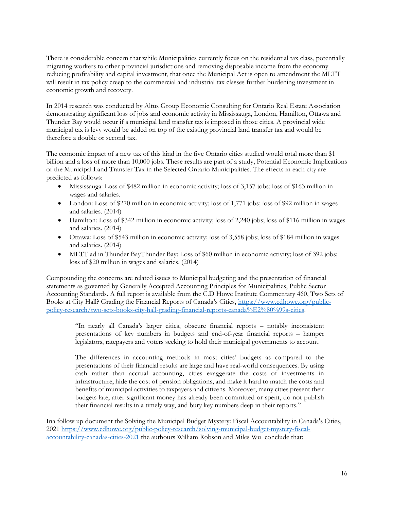There is considerable concern that while Municipalities currently focus on the residential tax class, potentially migrating workers to other provincial jurisdictions and removing disposable income from the economy reducing profitability and capital investment, that once the Municipal Act is open to amendment the MLTT will result in tax policy creep to the commercial and industrial tax classes further burdening investment in economic growth and recovery.

In 2014 research was conducted by Altus Group Economic Consulting for Ontario Real Estate Association demonstrating significant loss of jobs and economic activity in Mississauga, London, Hamilton, Ottawa and Thunder Bay would occur if a municipal land transfer tax is imposed in those cities. A provincial wide municipal tax is levy would be added on top of the existing provincial land transfer tax and would be therefore a double or second tax.

The economic impact of a new tax of this kind in the five Ontario cities studied would total more than \$1 billion and a loss of more than 10,000 jobs. These results are part of a study, Potential Economic Implications of the Municipal Land Transfer Tax in the Selected Ontario Municipalities. The effects in each city are predicted as follows:

- Mississauga: Loss of \$482 million in economic activity; loss of 3,157 jobs; loss of \$163 million in wages and salaries.
- London: Loss of \$270 million in economic activity; loss of 1,771 jobs; loss of \$92 million in wages and salaries. (2014)
- Hamilton: Loss of \$342 million in economic activity; loss of 2,240 jobs; loss of \$116 million in wages and salaries. (2014)
- Ottawa: Loss of \$543 million in economic activity; loss of 3,558 jobs; loss of \$184 million in wages and salaries. (2014)
- MLTT ad in Thunder BayThunder Bay: Loss of \$60 million in economic activity; loss of 392 jobs; loss of \$20 million in wages and salaries. (2014)

Compounding the concerns are related issues to Municipal budgeting and the presentation of financial statements as governed by Generally Accepted Accounting Principles for Municipalities, Public Sector Accounting Standards. A full report is available from the C.D Howe Institute Commentary 460, Two Sets of Books at City Hall? Grading the Financial Reports of Canada's Cities, [https://www.cdhowe.org/public](https://www.cdhowe.org/public-policy-research/two-sets-books-city-hall-grading-financial-reports-canada%E2%80%99s-cities)[policy-research/two-sets-books-city-hall-grading-financial-reports-canada%E2%80%99s-cities.](https://www.cdhowe.org/public-policy-research/two-sets-books-city-hall-grading-financial-reports-canada%E2%80%99s-cities)

"In nearly all Canada's larger cities, obscure financial reports – notably inconsistent presentations of key numbers in budgets and end-of-year financial reports – hamper legislators, ratepayers and voters seeking to hold their municipal governments to account.

The differences in accounting methods in most cities' budgets as compared to the presentations of their financial results are large and have real-world consequences. By using cash rather than accrual accounting, cities exaggerate the costs of investments in infrastructure, hide the cost of pension obligations, and make it hard to match the costs and benefits of municipal activities to taxpayers and citizens. Moreover, many cities present their budgets late, after significant money has already been committed or spent, do not publish their financial results in a timely way, and bury key numbers deep in their reports."

Ina follow up document the Solving the Municipal Budget Mystery: Fiscal Accountability in Canada's Cities, 2021 [https://www.cdhowe.org/public-policy-research/solving-municipal-budget-mystery-fiscal](https://www.cdhowe.org/public-policy-research/solving-municipal-budget-mystery-fiscal-accountability-canadas-cities-2021)[accountability-canadas-cities-2021](https://www.cdhowe.org/public-policy-research/solving-municipal-budget-mystery-fiscal-accountability-canadas-cities-2021) the authours William Robson and Miles Wu conclude that: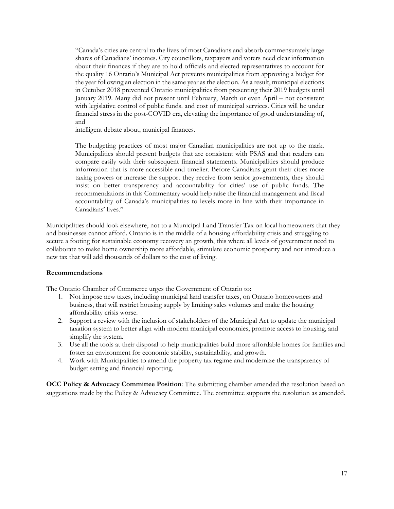"Canada's cities are central to the lives of most Canadians and absorb commensurately large shares of Canadians' incomes. City councillors, taxpayers and voters need clear information about their finances if they are to hold officials and elected representatives to account for the quality 16 Ontario's Municipal Act prevents municipalities from approving a budget for the year following an election in the same year as the election. As a result, municipal elections in October 2018 prevented Ontario municipalities from presenting their 2019 budgets until January 2019. Many did not present until February, March or even April – not consistent with legislative control of public funds. and cost of municipal services. Cities will be under financial stress in the post-COVID era, elevating the importance of good understanding of, and

intelligent debate about, municipal finances.

The budgeting practices of most major Canadian municipalities are not up to the mark. Municipalities should present budgets that are consistent with PSAS and that readers can compare easily with their subsequent financial statements. Municipalities should produce information that is more accessible and timelier. Before Canadians grant their cities more taxing powers or increase the support they receive from senior governments, they should insist on better transparency and accountability for cities' use of public funds. The recommendations in this Commentary would help raise the financial management and fiscal accountability of Canada's municipalities to levels more in line with their importance in Canadians' lives."

Municipalities should look elsewhere, not to a Municipal Land Transfer Tax on local homeowners that they and businesses cannot afford. Ontario is in the middle of a housing affordability crisis and struggling to secure a footing for sustainable economy recovery an growth, this where all levels of government need to collaborate to make home ownership more affordable, stimulate economic prosperity and not introduce a new tax that will add thousands of dollars to the cost of living.

#### **Recommendations**

The Ontario Chamber of Commerce urges the Government of Ontario to:

- 1. Not impose new taxes, including municipal land transfer taxes, on Ontario homeowners and business, that will restrict housing supply by limiting sales volumes and make the housing affordability crisis worse.
- 2. Support a review with the inclusion of stakeholders of the Municipal Act to update the municipal taxation system to better align with modern municipal economies, promote access to housing, and simplify the system.
- 3. Use all the tools at their disposal to help municipalities build more affordable homes for families and foster an environment for economic stability, sustainability, and growth.
- 4. Work with Municipalities to amend the property tax regime and modernize the transparency of budget setting and financial reporting.

**OCC Policy & Advocacy Committee Position**: The submitting chamber amended the resolution based on suggestions made by the Policy & Advocacy Committee. The committee supports the resolution as amended.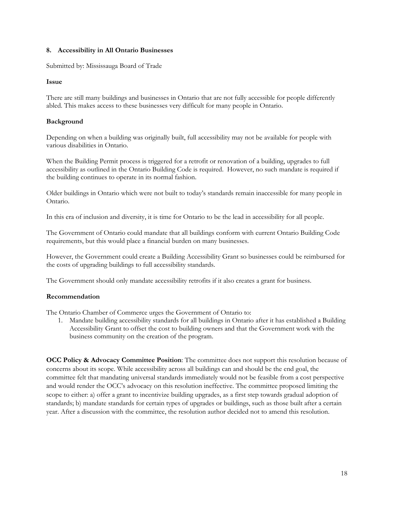#### <span id="page-17-0"></span>**8. Accessibility in All Ontario Businesses**

Submitted by: Mississauga Board of Trade

#### **Issue**

There are still many buildings and businesses in Ontario that are not fully accessible for people differently abled. This makes access to these businesses very difficult for many people in Ontario.

#### **Background**

Depending on when a building was originally built, full accessibility may not be available for people with various disabilities in Ontario.

When the Building Permit process is triggered for a retrofit or renovation of a building, upgrades to full accessibility as outlined in the Ontario Building Code is required. However, no such mandate is required if the building continues to operate in its normal fashion.

Older buildings in Ontario which were not built to today's standards remain inaccessible for many people in Ontario.

In this era of inclusion and diversity, it is time for Ontario to be the lead in accessibility for all people.

The Government of Ontario could mandate that all buildings conform with current Ontario Building Code requirements, but this would place a financial burden on many businesses.

However, the Government could create a Building Accessibility Grant so businesses could be reimbursed for the costs of upgrading buildings to full accessibility standards.

The Government should only mandate accessibility retrofits if it also creates a grant for business.

#### **Recommendation**

The Ontario Chamber of Commerce urges the Government of Ontario to:

1. Mandate building accessibility standards for all buildings in Ontario after it has established a Building Accessibility Grant to offset the cost to building owners and that the Government work with the business community on the creation of the program.

**OCC Policy & Advocacy Committee Position**: The committee does not support this resolution because of concerns about its scope. While accessibility across all buildings can and should be the end goal, the committee felt that mandating universal standards immediately would not be feasible from a cost perspective and would render the OCC's advocacy on this resolution ineffective. The committee proposed limiting the scope to either: a) offer a grant to incentivize building upgrades, as a first step towards gradual adoption of standards; b) mandate standards for certain types of upgrades or buildings, such as those built after a certain year. After a discussion with the committee, the resolution author decided not to amend this resolution.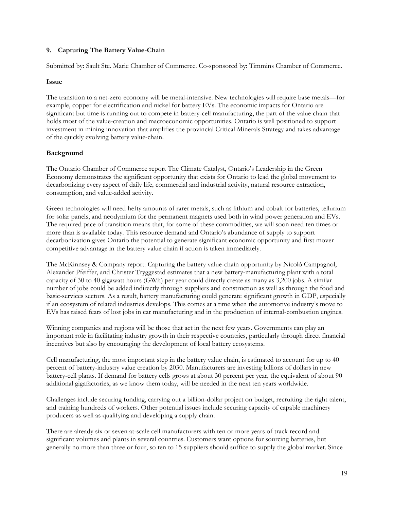#### <span id="page-18-0"></span>**9. Capturing The Battery Value-Chain**

Submitted by: Sault Ste. Marie Chamber of Commerce. Co-sponsored by: Timmins Chamber of Commerce.

#### **Issue**

The transition to a net-zero economy will be metal-intensive. New technologies will require base metals—for example, copper for electrification and nickel for battery EVs. The economic impacts for Ontario are significant but time is running out to compete in battery-cell manufacturing, the part of the value chain that holds most of the value-creation and macroeconomic opportunities. Ontario is well positioned to support investment in mining innovation that amplifies the provincial Critical Minerals Strategy and takes advantage of the quickly evolving battery value-chain.

#### **Background**

The Ontario Chamber of Commerce report The Climate Catalyst, Ontario's Leadership in the Green Economy demonstrates the significant opportunity that exists for Ontario to lead the global movement to decarbonizing every aspect of daily life, commercial and industrial activity, natural resource extraction, consumption, and value-added activity.

Green technologies will need hefty amounts of rarer metals, such as lithium and cobalt for batteries, tellurium for solar panels, and neodymium for the permanent magnets used both in wind power generation and EVs. The required pace of transition means that, for some of these commodities, we will soon need ten times or more than is available today. This resource demand and Ontario's abundance of supply to support decarbonization gives Ontario the potential to generate significant economic opportunity and first mover competitive advantage in the battery value chain if action is taken immediately.

The McKinnsey & Company report: Capturing the battery value-chain opportunity by Nicolò Campagnol, Alexander Pfeiffer, and Christer Tryggestad estimates that a new battery-manufacturing plant with a total capacity of 30 to 40 gigawatt hours (GWh) per year could directly create as many as 3,200 jobs. A similar number of jobs could be added indirectly through suppliers and construction as well as through the food and basic-services sectors. As a result, battery manufacturing could generate significant growth in GDP, especially if an ecosystem of related industries develops. This comes at a time when the automotive industry's move to EVs has raised fears of lost jobs in car manufacturing and in the production of internal-combustion engines.

Winning companies and regions will be those that act in the next few years. Governments can play an important role in facilitating industry growth in their respective countries, particularly through direct financial incentives but also by encouraging the development of local battery ecosystems.

Cell manufacturing, the most important step in the battery value chain, is estimated to account for up to 40 percent of battery-industry value creation by 2030. Manufacturers are investing billions of dollars in new battery-cell plants. If demand for battery cells grows at about 30 percent per year, the equivalent of about 90 additional gigafactories, as we know them today, will be needed in the next ten years worldwide.

Challenges include securing funding, carrying out a billion-dollar project on budget, recruiting the right talent, and training hundreds of workers. Other potential issues include securing capacity of capable machinery producers as well as qualifying and developing a supply chain.

There are already six or seven at-scale cell manufacturers with ten or more years of track record and significant volumes and plants in several countries. Customers want options for sourcing batteries, but generally no more than three or four, so ten to 15 suppliers should suffice to supply the global market. Since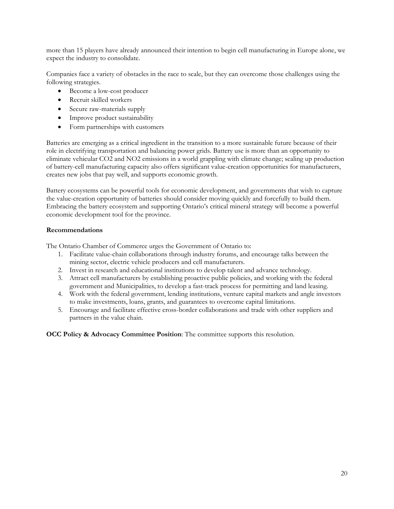more than 15 players have already announced their intention to begin cell manufacturing in Europe alone, we expect the industry to consolidate.

Companies face a variety of obstacles in the race to scale, but they can overcome those challenges using the following strategies.

- Become a low-cost producer
- Recruit skilled workers
- Secure raw-materials supply
- Improve product sustainability
- Form partnerships with customers

Batteries are emerging as a critical ingredient in the transition to a more sustainable future because of their role in electrifying transportation and balancing power grids. Battery use is more than an opportunity to eliminate vehicular CO2 and NO2 emissions in a world grappling with climate change; scaling up production of battery-cell manufacturing capacity also offers significant value-creation opportunities for manufacturers, creates new jobs that pay well, and supports economic growth.

Battery ecosystems can be powerful tools for economic development, and governments that wish to capture the value-creation opportunity of batteries should consider moving quickly and forcefully to build them. Embracing the battery ecosystem and supporting Ontario's critical mineral strategy will become a powerful economic development tool for the province.

#### **Recommendations**

The Ontario Chamber of Commerce urges the Government of Ontario to:

- 1. Facilitate value-chain collaborations through industry forums, and encourage talks between the mining sector, electric vehicle producers and cell manufacturers.
- 2. Invest in research and educational institutions to develop talent and advance technology.
- 3. Attract cell manufacturers by establishing proactive public policies, and working with the federal government and Municipalities, to develop a fast-track process for permitting and land leasing.
- 4. Work with the federal government, lending institutions, venture capital markets and angle investors to make investments, loans, grants, and guarantees to overcome capital limitations.
- 5. Encourage and facilitate effective cross-border collaborations and trade with other suppliers and partners in the value chain.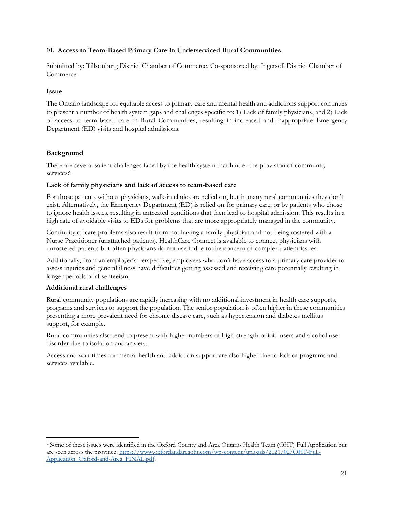#### <span id="page-20-0"></span>**10. Access to Team-Based Primary Care in Underserviced Rural Communities**

Submitted by: Tillsonburg District Chamber of Commerce. Co-sponsored by: Ingersoll District Chamber of Commerce

#### **Issue**

The Ontario landscape for equitable access to primary care and mental health and addictions support continues to present a number of health system gaps and challenges specific to: 1) Lack of family physicians, and 2) Lack of access to team-based care in Rural Communities, resulting in increased and inappropriate Emergency Department (ED) visits and hospital admissions.

#### **Background**

There are several salient challenges faced by the health system that hinder the provision of community services:<sup>9</sup>

#### **Lack of family physicians and lack of access to team-based care**

For those patients without physicians, walk-in clinics are relied on, but in many rural communities they don't exist. Alternatively, the Emergency Department (ED) is relied on for primary care, or by patients who chose to ignore health issues, resulting in untreated conditions that then lead to hospital admission. This results in a high rate of avoidable visits to EDs for problems that are more appropriately managed in the community.

Continuity of care problems also result from not having a family physician and not being rostered with a Nurse Practitioner (unattached patients). HealthCare Connect is available to connect physicians with unrostered patients but often physicians do not use it due to the concern of complex patient issues.

Additionally, from an employer's perspective, employees who don't have access to a primary care provider to assess injuries and general illness have difficulties getting assessed and receiving care potentially resulting in longer periods of absenteeism.

#### **Additional rural challenges**

Rural community populations are rapidly increasing with no additional investment in health care supports, programs and services to support the population. The senior population is often higher in these communities presenting a more prevalent need for chronic disease care, such as hypertension and diabetes mellitus support, for example.

Rural communities also tend to present with higher numbers of high-strength opioid users and alcohol use disorder due to isolation and anxiety.

Access and wait times for mental health and addiction support are also higher due to lack of programs and services available.

<sup>9</sup> Some of these issues were identified in the Oxford County and Area Ontario Health Team (OHT) Full Application but are seen across the province. [https://www.oxfordandareaoht.com/wp-content/uploads/2021/02/OHT-Full-](https://www.oxfordandareaoht.com/wp-content/uploads/2021/02/OHT-Full-Application_Oxford-and-Area_FINAL.pdf)[Application\\_Oxford-and-Area\\_FINAL.pdf.](https://www.oxfordandareaoht.com/wp-content/uploads/2021/02/OHT-Full-Application_Oxford-and-Area_FINAL.pdf)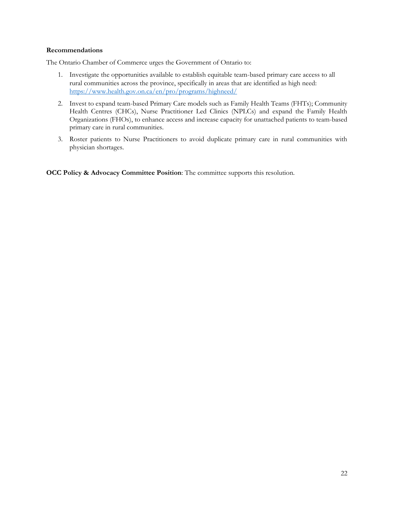#### **Recommendations**

The Ontario Chamber of Commerce urges the Government of Ontario to:

- 1. Investigate the opportunities available to establish equitable team-based primary care access to all rural communities across the province, specifically in areas that are identified as high need: <https://www.health.gov.on.ca/en/pro/programs/highneed/>
- 2. Invest to expand team-based Primary Care models such as Family Health Teams (FHTs); Community Health Centres (CHCs), Nurse Practitioner Led Clinics (NPLCs) and expand the Family Health Organizations (FHOs), to enhance access and increase capacity for unattached patients to team-based primary care in rural communities.
- 3. Roster patients to Nurse Practitioners to avoid duplicate primary care in rural communities with physician shortages.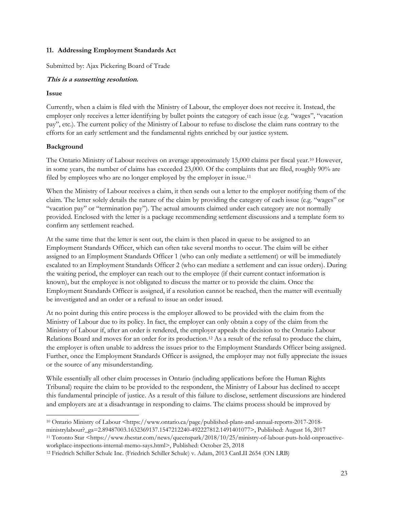#### <span id="page-22-0"></span>**11. Addressing Employment Standards Act**

Submitted by: Ajax Pickering Board of Trade

# **This is a sunsetting resolution.**

#### **Issue**

Currently, when a claim is filed with the Ministry of Labour, the employer does not receive it. Instead, the employer only receives a letter identifying by bullet points the category of each issue (e.g. "wages", "vacation pay", etc.). The current policy of the Ministry of Labour to refuse to disclose the claim runs contrary to the efforts for an early settlement and the fundamental rights enriched by our justice system.

# **Background**

The Ontario Ministry of Labour receives on average approximately 15,000 claims per fiscal year.<sup>10</sup> However, in some years, the number of claims has exceeded 23,000. Of the complaints that are filed, roughly 90% are filed by employees who are no longer employed by the employer in issue.<sup>11</sup>

When the Ministry of Labour receives a claim, it then sends out a letter to the employer notifying them of the claim. The letter solely details the nature of the claim by providing the category of each issue (e.g. "wages" or "vacation pay" or "termination pay"). The actual amounts claimed under each category are not normally provided. Enclosed with the letter is a package recommending settlement discussions and a template form to confirm any settlement reached.

At the same time that the letter is sent out, the claim is then placed in queue to be assigned to an Employment Standards Officer, which can often take several months to occur. The claim will be either assigned to an Employment Standards Officer 1 (who can only mediate a settlement) or will be immediately escalated to an Employment Standards Officer 2 (who can mediate a settlement and can issue orders). During the waiting period, the employer can reach out to the employee (if their current contact information is known), but the employee is not obligated to discuss the matter or to provide the claim. Once the Employment Standards Officer is assigned, if a resolution cannot be reached, then the matter will eventually be investigated and an order or a refusal to issue an order issued.

At no point during this entire process is the employer allowed to be provided with the claim from the Ministry of Labour due to its policy. In fact, the employer can only obtain a copy of the claim from the Ministry of Labour if, after an order is rendered, the employer appeals the decision to the Ontario Labour Relations Board and moves for an order for its production.<sup>12</sup> As a result of the refusal to produce the claim, the employer is often unable to address the issues prior to the Employment Standards Officer being assigned. Further, once the Employment Standards Officer is assigned, the employer may not fully appreciate the issues or the source of any misunderstanding.

While essentially all other claim processes in Ontario (including applications before the Human Rights Tribunal) require the claim to be provided to the respondent, the Ministry of Labour has declined to accept this fundamental principle of justice. As a result of this failure to disclose, settlement discussions are hindered and employers are at a disadvantage in responding to claims. The claims process should be improved by

<sup>11</sup> Toronto Star <https://www.thestar.com/news/queenspark/2018/10/25/ministry-of-labour-puts-hold-onproactiveworkplace-inspections-internal-memo-says.html>, Published: October 25, 2018

<sup>10</sup> Ontario Ministry of Labour <https://www.ontario.ca/page/published-plans-and-annual-reports-2017-2018 ministrylabour?\_ga=2.89487003.1632369137.1547212240-492227812.1491401077>, Published: August 16, 2017

<sup>12</sup> Friedrich Schiller Schule Inc. (Friedrich Schiller Schule) v. Adam, 2013 CanLII 2654 (ON LRB)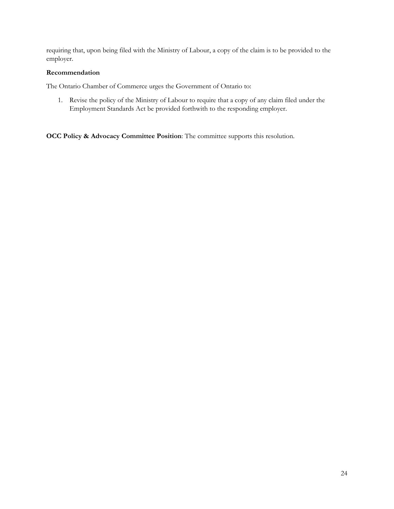requiring that, upon being filed with the Ministry of Labour, a copy of the claim is to be provided to the employer.

#### **Recommendation**

The Ontario Chamber of Commerce urges the Government of Ontario to:

1. Revise the policy of the Ministry of Labour to require that a copy of any claim filed under the Employment Standards Act be provided forthwith to the responding employer.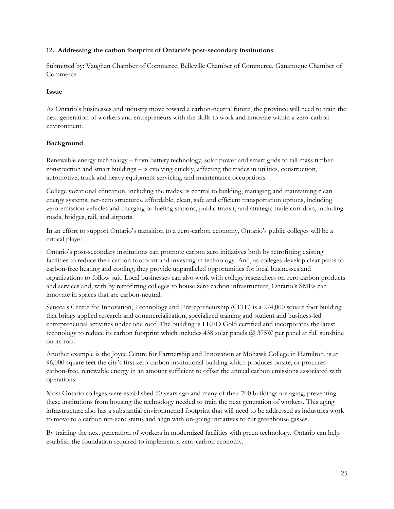#### <span id="page-24-0"></span>**12. Addressing the carbon footprint of Ontario's post-secondary institutions**

Submitted by: Vaughan Chamber of Commerce, Belleville Chamber of Commerce, Gananoque Chamber of Commerce

#### **Issue**

As Ontario's businesses and industry move toward a carbon-neutral future, the province will need to train the next generation of workers and entrepreneurs with the skills to work and innovate within a zero-carbon environment.

# **Background**

Renewable energy technology – from battery technology, solar power and smart grids to tall mass timber construction and smart buildings – is evolving quickly, affecting the trades in utilities, construction, automotive, truck and heavy equipment servicing, and maintenance occupations.

College vocational education, including the trades, is central to building, managing and maintaining clean energy systems, net-zero structures, affordable, clean, safe and efficient transportation options, including zero-emission vehicles and charging or fueling stations, public transit, and strategic trade corridors, including roads, bridges, rail, and airports.

In an effort to support Ontario's transition to a zero-carbon economy, Ontario's public colleges will be a critical player.

Ontario's post-secondary institutions can promote carbon zero initiatives both by retrofitting existing facilities to reduce their carbon footprint and investing in technology. And, as colleges develop clear paths to carbon-free heating and cooling, they provide unparalleled opportunities for local businesses and organizations to follow suit. Local businesses can also work with college researchers on zero carbon products and services and, with by retrofitting colleges to house zero carbon infrastructure, Ontario's SMEs can innovate in spaces that are carbon-neutral.

Seneca's Centre for Innovation, Technology and Entrepreneurship (CITE) is a 274,000 square foot building that brings applied research and commercialization, specialized training and student and business-led entrepreneurial activities under one roof. The building is LEED Gold certified and incorporates the latest technology to reduce its carbon footprint which includes 438 solar panels @ 375W per panel at full sunshine on its roof.

Another example is the Joyce Centre for Partnership and Innovation at Mohawk College in Hamilton, is at 96,000 square feet the city's first zero-carbon institutional building which produces onsite, or procures carbon-free, renewable energy in an amount sufficient to offset the annual carbon emissions associated with operations.

Most Ontario colleges were established 50 years ago and many of their 700 buildings are aging, preventing these institutions from housing the technology needed to train the next generation of workers. This aging infrastructure also has a substantial environmental footprint that will need to be addressed as industries work to move to a carbon net-zero status and align with on-going initiatives to cut greenhouse gasses.

By training the next generation of workers in modernized facilities with green technology, Ontario can help establish the foundation required to implement a zero-carbon economy.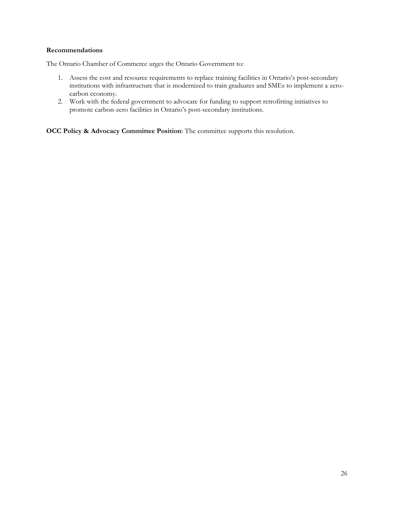#### **Recommendations**

The Ontario Chamber of Commerce urges the Ontario Government to:

- 1. Assess the cost and resource requirements to replace training facilities in Ontario's post-secondary institutions with infrastructure that is modernized to train graduates and SMEs to implement a zerocarbon economy.
- 2. Work with the federal government to advocate for funding to support retrofitting initiatives to promote carbon-zero facilities in Ontario's post-secondary institutions.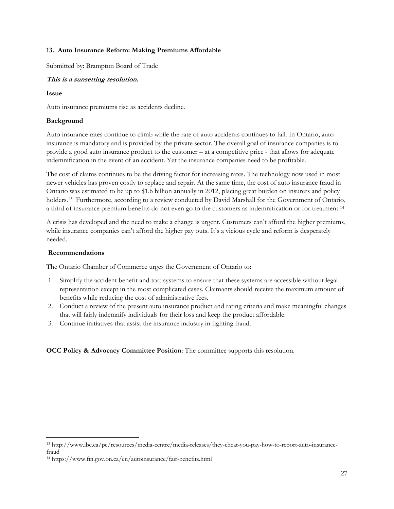#### <span id="page-26-0"></span>**13. Auto Insurance Reform: Making Premiums Affordable**

Submitted by: Brampton Board of Trade

# **This is a sunsetting resolution.**

#### **Issue**

Auto insurance premiums rise as accidents decline.

#### **Background**

Auto insurance rates continue to climb while the rate of auto accidents continues to fall. In Ontario, auto insurance is mandatory and is provided by the private sector. The overall goal of insurance companies is to provide a good auto insurance product to the customer – at a competitive price - that allows for adequate indemnification in the event of an accident. Yet the insurance companies need to be profitable.

The cost of claims continues to be the driving factor for increasing rates. The technology now used in most newer vehicles has proven costly to replace and repair. At the same time, the cost of auto insurance fraud in Ontario was estimated to be up to \$1.6 billion annually in 2012, placing great burden on insurers and policy holders.<sup>13</sup> Furthermore, according to a review conducted by David Marshall for the Government of Ontario, a third of insurance premium benefits do not even go to the customers as indemnification or for treatment.<sup>14</sup>

A crisis has developed and the need to make a change is urgent. Customers can't afford the higher premiums, while insurance companies can't afford the higher pay outs. It's a vicious cycle and reform is desperately needed.

#### **Recommendations**

The Ontario Chamber of Commerce urges the Government of Ontario to:

- 1. Simplify the accident benefit and tort systems to ensure that these systems are accessible without legal representation except in the most complicated cases. Claimants should receive the maximum amount of benefits while reducing the cost of administrative fees.
- 2. Conduct a review of the present auto insurance product and rating criteria and make meaningful changes that will fairly indemnify individuals for their loss and keep the product affordable.
- 3. Continue initiatives that assist the insurance industry in fighting fraud.

<sup>13</sup> http://www.ibc.ca/pe/resources/media-centre/media-releases/they-cheat-you-pay-how-to-report-auto-insurancefraud

<sup>14</sup> https://www.fin.gov.on.ca/en/autoinsurance/fair-benefits.html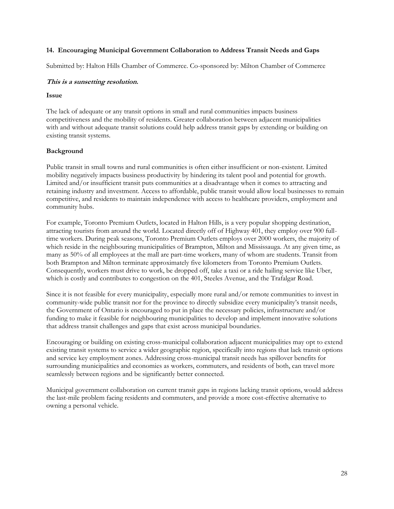#### <span id="page-27-0"></span>**14. Encouraging Municipal Government Collaboration to Address Transit Needs and Gaps**

Submitted by: Halton Hills Chamber of Commerce. Co-sponsored by: Milton Chamber of Commerce

#### **This is a sunsetting resolution.**

#### **Issue**

The lack of adequate or any transit options in small and rural communities impacts business competitiveness and the mobility of residents. Greater collaboration between adjacent municipalities with and without adequate transit solutions could help address transit gaps by extending or building on existing transit systems.

#### **Background**

Public transit in small towns and rural communities is often either insufficient or non-existent. Limited mobility negatively impacts business productivity by hindering its talent pool and potential for growth. Limited and/or insufficient transit puts communities at a disadvantage when it comes to attracting and retaining industry and investment. Access to affordable, public transit would allow local businesses to remain competitive, and residents to maintain independence with access to healthcare providers, employment and community hubs.

For example, Toronto Premium Outlets, located in Halton Hills, is a very popular shopping destination, attracting tourists from around the world. Located directly off of Highway 401, they employ over 900 fulltime workers. During peak seasons, Toronto Premium Outlets employs over 2000 workers, the majority of which reside in the neighbouring municipalities of Brampton, Milton and Mississauga. At any given time, as many as 50% of all employees at the mall are part-time workers, many of whom are students. Transit from both Brampton and Milton terminate approximately five kilometers from Toronto Premium Outlets. Consequently, workers must drive to work, be dropped off, take a taxi or a ride hailing service like Uber, which is costly and contributes to congestion on the 401, Steeles Avenue, and the Trafalgar Road.

Since it is not feasible for every municipality, especially more rural and/or remote communities to invest in community-wide public transit nor for the province to directly subsidize every municipality's transit needs, the Government of Ontario is encouraged to put in place the necessary policies, infrastructure and/or funding to make it feasible for neighbouring municipalities to develop and implement innovative solutions that address transit challenges and gaps that exist across municipal boundaries.

Encouraging or building on existing cross-municipal collaboration adjacent municipalities may opt to extend existing transit systems to service a wider geographic region, specifically into regions that lack transit options and service key employment zones. Addressing cross-municipal transit needs has spillover benefits for surrounding municipalities and economies as workers, commuters, and residents of both, can travel more seamlessly between regions and be significantly better connected.

Municipal government collaboration on current transit gaps in regions lacking transit options, would address the last-mile problem facing residents and commuters, and provide a more cost-effective alternative to owning a personal vehicle.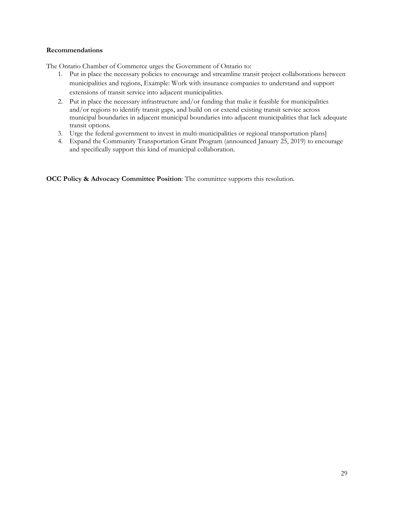#### **Recommendations**

The Ontario Chamber of Commerce urges the Government of Ontario to:

- 1. Put in place the necessary policies to encourage and streamline transit project collaborations between municipalities and regions, Example: Work with insurance companies to understand and support extensions of transit service into adjacent municipalities.
- 2. Put in place the necessary infrastructure and/or funding that make it feasible for municipalities and/or regions to identify transit gaps, and build on or extend existing transit service across municipal boundaries in adjacent municipal boundaries into adjacent municipalities that lack adequate transit options.
- 3. Urge the federal government to invest in multi-municipalities or regional transportation plans]
- 4. Expand the Community Transportation Grant Program (announced January 25, 2019) to encourage and specifically support this kind of municipal collaboration.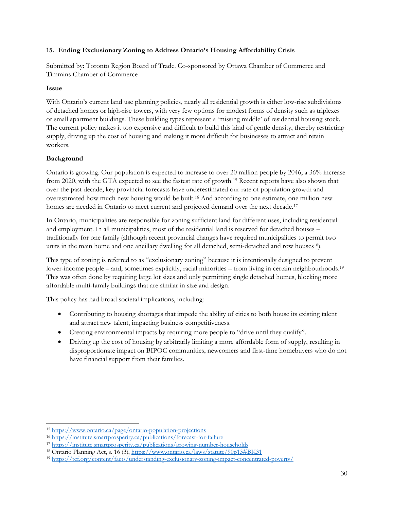# <span id="page-29-0"></span>**15. Ending Exclusionary Zoning to Address Ontario's Housing Affordability Crisis**

Submitted by: Toronto Region Board of Trade. Co-sponsored by Ottawa Chamber of Commerce and Timmins Chamber of Commerce

#### **Issue**

With Ontario's current land use planning policies, nearly all residential growth is either low-rise subdivisions of detached homes or high-rise towers, with very few options for modest forms of density such as triplexes or small apartment buildings. These building types represent a 'missing middle' of residential housing stock. The current policy makes it too expensive and difficult to build this kind of gentle density, thereby restricting supply, driving up the cost of housing and making it more difficult for businesses to attract and retain workers.

# **Background**

Ontario is growing. Our population is expected to increase to over 20 million people by 2046, a 36% increase from 2020, with the GTA expected to see the fastest rate of growth.<sup>15</sup> Recent reports have also shown that over the past decade, key provincial forecasts have underestimated our rate of population growth and overestimated how much new housing would be built.<sup>16</sup> And according to one estimate, one million new homes are needed in Ontario to meet current and projected demand over the next decade.<sup>17</sup>

In Ontario, municipalities are responsible for zoning sufficient land for different uses, including residential and employment. In all municipalities, most of the residential land is reserved for detached houses – traditionally for one family (although recent provincial changes have required municipalities to permit two units in the main home and one ancillary dwelling for all detached, semi-detached and row houses<sup>18</sup>).

This type of zoning is referred to as "exclusionary zoning" because it is intentionally designed to prevent lower-income people – and, sometimes explicitly, racial minorities – from living in certain neighbourhoods.<sup>19</sup> This was often done by requiring large lot sizes and only permitting single detached homes, blocking more affordable multi-family buildings that are similar in size and design.

This policy has had broad societal implications, including:

- Contributing to housing shortages that impede the ability of cities to both house its existing talent and attract new talent, impacting business competitiveness.
- Creating environmental impacts by requiring more people to "drive until they qualify".
- Driving up the cost of housing by arbitrarily limiting a more affordable form of supply, resulting in disproportionate impact on BIPOC communities, newcomers and first-time homebuyers who do not have financial support from their families.

<sup>15</sup> <https://www.ontario.ca/page/ontario-population-projections>

<sup>16</sup> <https://institute.smartprosperity.ca/publications/forecast-for-failure>

<sup>17</sup> <https://institute.smartprosperity.ca/publications/growing-number-households>

<sup>&</sup>lt;sup>18</sup> Ontario Planning Act, s. 16 (3),<https://www.ontario.ca/laws/statute/90p13#BK31>

<sup>19</sup> <https://tcf.org/content/facts/understanding-exclusionary-zoning-impact-concentrated-poverty/>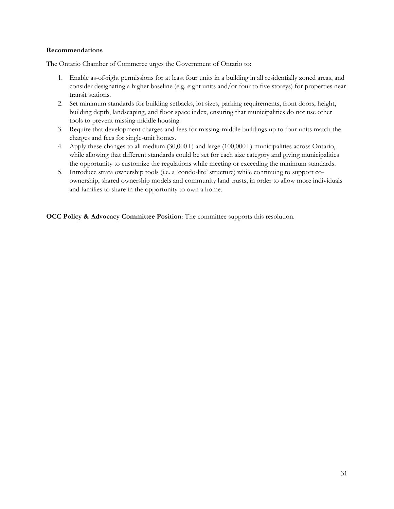#### **Recommendations**

The Ontario Chamber of Commerce urges the Government of Ontario to:

- 1. Enable as-of-right permissions for at least four units in a building in all residentially zoned areas, and consider designating a higher baseline (e.g. eight units and/or four to five storeys) for properties near transit stations.
- 2. Set minimum standards for building setbacks, lot sizes, parking requirements, front doors, height, building depth, landscaping, and floor space index, ensuring that municipalities do not use other tools to prevent missing middle housing.
- 3. Require that development charges and fees for missing-middle buildings up to four units match the charges and fees for single-unit homes.
- 4. Apply these changes to all medium (30,000+) and large (100,000+) municipalities across Ontario, while allowing that different standards could be set for each size category and giving municipalities the opportunity to customize the regulations while meeting or exceeding the minimum standards.
- 5. Introduce strata ownership tools (i.e. a 'condo-lite' structure) while continuing to support coownership, shared ownership models and community land trusts, in order to allow more individuals and families to share in the opportunity to own a home.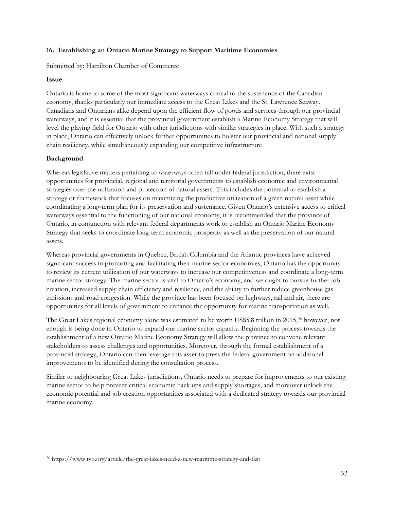#### <span id="page-31-0"></span>**16. Establishing an Ontario Marine Strategy to Support Maritime Economies**

Submitted by: Hamilton Chamber of Commerce

#### **Issue**

Ontario is home to some of the most significant waterways critical to the sustenance of the Canadian economy, thanks particularly our immediate access to the Great Lakes and the St. Lawrence Seaway. Canadians and Ontarians alike depend upon the efficient flow of goods and services through our provincial waterways, and it is essential that the provincial government establish a Marine Economy Strategy that will level the playing field for Ontario with other jurisdictions with similar strategies in place. With such a strategy in place, Ontario can effectively unlock further opportunities to bolster our provincial and national supply chain resiliency, while simultaneously expanding our competitive infrastructure

# **Background**

Whereas legislative matters pertaining to waterways often fall under federal jurisdiction, there exist opportunities for provincial, regional and territorial governments to establish economic and environmental strategies over the utilization and protection of natural assets. This includes the potential to establish a strategy or framework that focuses on maximizing the productive utilization of a given natural asset while coordinating a long-term plan for its preservation and sustenance. Given Ontario's extensive access to critical waterways essential to the functioning of our national economy, it is recommended that the province of Ontario, in conjunction with relevant federal departments work to establish an Ontario Marine Economy Strategy that seeks to coordinate long-term economic prosperity as well as the preservation of our natural assets.

Whereas provincial governments in Quebec, British Columbia and the Atlantic provinces have achieved significant success in promoting and facilitating their marine sector economies, Ontario has the opportunity to review its current utilization of our waterways to increase our competitiveness and coordinate a long-term marine sector strategy. The marine sector is vital to Ontario's economy, and we ought to pursue further job creation, increased supply chain efficiency and resilience, and the ability to further reduce greenhouse gas emissions and road congestion. While the province has been focused on highways, rail and air, there are opportunities for all levels of government to enhance the opportunity for marine transportation as well.

The Great Lakes regional economy alone was estimated to be worth US\$5.8 trillion in 2015,<sup>20</sup> however, not enough is being done in Ontario to expand our marine sector capacity. Beginning the process towards the establishment of a new Ontario Marine Economy Strategy will allow the province to convene relevant stakeholders to assess challenges and opportunities. Moreover, through the formal establishment of a provincial strategy, Ontario can then leverage this asset to press the federal government on additional improvements to be identified during the consultation process.

Similar to neighbouring Great Lakes jurisdictions, Ontario needs to prepare for improvements to our existing marine sector to help prevent critical economic back ups and supply shortages, and moreover unlock the economic potential and job creation opportunities associated with a dedicated strategy towards our provincial marine economy.

<sup>20</sup> https://www.tvo.org/article/the-great-lakes-need-a-new-maritime-strategy-and-fast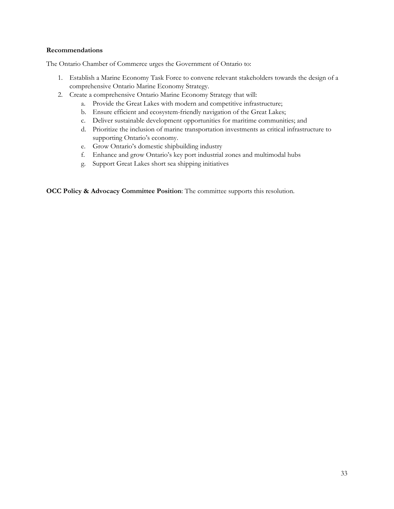#### **Recommendations**

The Ontario Chamber of Commerce urges the Government of Ontario to:

- 1. Establish a Marine Economy Task Force to convene relevant stakeholders towards the design of a comprehensive Ontario Marine Economy Strategy.
- 2. Create a comprehensive Ontario Marine Economy Strategy that will:
	- a. Provide the Great Lakes with modern and competitive infrastructure;
	- b. Ensure efficient and ecosystem-friendly navigation of the Great Lakes;
	- c. Deliver sustainable development opportunities for maritime communities; and
	- d. Prioritize the inclusion of marine transportation investments as critical infrastructure to supporting Ontario's economy.
	- e. Grow Ontario's domestic shipbuilding industry
	- f. Enhance and grow Ontario's key port industrial zones and multimodal hubs
	- g. Support Great Lakes short sea shipping initiatives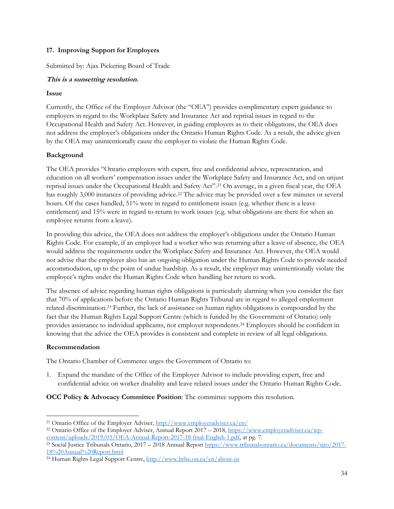# <span id="page-33-0"></span>**17. Improving Support for Employers**

Submitted by: Ajax Pickering Board of Trade

# **This is a sunsetting resolution.**

#### **Issue**

Currently, the Office of the Employer Advisor (the "OEA") provides complimentary expert guidance to employers in regard to the Workplace Safety and Insurance Act and reprisal issues in regard to the Occupational Health and Safety Act. However, in guiding employers as to their obligations, the OEA does not address the employer's obligations under the Ontario Human Rights Code. As a result, the advice given by the OEA may unintentionally cause the employer to violate the Human Rights Code.

# **Background**

The OEA provides "Ontario employers with expert, free and confidential advice, representation, and education on all workers' compensation issues under the Workplace Safety and Insurance Act, and on unjust reprisal issues under the Occupational Health and Safety Act".<sup>21</sup> On average, in a given fiscal year, the OEA has roughly 3,000 instances of providing advice.<sup>22</sup> The advice may be provided over a few minutes or several hours. Of the cases handled, 51% were in regard to entitlement issues (e.g. whether there is a leave entitlement) and 15% were in regard to return to work issues (e.g. what obligations are there for when an employee returns from a leave).

In providing this advice, the OEA does not address the employer's obligations under the Ontario Human Rights Code. For example, if an employer had a worker who was returning after a leave of absence, the OEA would address the requirements under the Workplace Safety and Insurance Act. However, the OEA would not advise that the employer also has an ongoing obligation under the Human Rights Code to provide needed accommodation, up to the point of undue hardship. As a result, the employer may unintentionally violate the employee's rights under the Human Rights Code when handling her return to work.

The absence of advice regarding human rights obligations is particularly alarming when you consider the fact that 70% of applications before the Ontario Human Rights Tribunal are in regard to alleged employment related discrimination.<sup>23</sup> Further, the lack of assistance on human rights obligations is compounded by the fact that the Human Rights Legal Support Centre (which is funded by the Government of Ontario) only provides assistance to individual applicants, not employer respondents.<sup>24</sup> Employers should be confident in knowing that the advice the OEA provides is consistent and complete in review of all legal obligations.

#### **Recommendation**

The Ontario Chamber of Commerce urges the Government of Ontario to:

1. Expand the mandate of the Office of the Employer Advisor to include providing expert, free and confidential advice on worker disability and leave related issues under the Ontario Human Rights Code.

<sup>&</sup>lt;sup>21</sup> Ontario Office of the Employer Adviser,<http://www.employeradviser.ca/en/>

<sup>&</sup>lt;sup>22</sup> Ontario Office of the Employer Adviser, Annual Report 2017 – 2018, [https://www.employeradviser.ca/wp](https://www.employeradviser.ca/wp-content/uploads/2019/05/OEA-Annual-Report-2017-18-final-English-1.pdf)[content/uploads/2019/05/OEA-Annual-Report-2017-18-final-English-1.pdf,](https://www.employeradviser.ca/wp-content/uploads/2019/05/OEA-Annual-Report-2017-18-final-English-1.pdf) at pg. 7.

<sup>&</sup>lt;sup>23</sup> Social Justice Tribunals Ontario, 2017 – 2018 Annual Repor[t https://www.tribunalsontario.ca/documents/sjto/2017-](https://www.tribunalsontario.ca/documents/sjto/2017-18%20Annual%20Report.html) [18%20Annual%20Report.html](https://www.tribunalsontario.ca/documents/sjto/2017-18%20Annual%20Report.html)

<sup>24</sup> Human Rights Legal Support Centre,<http://www.hrlsc.on.ca/en/about-us>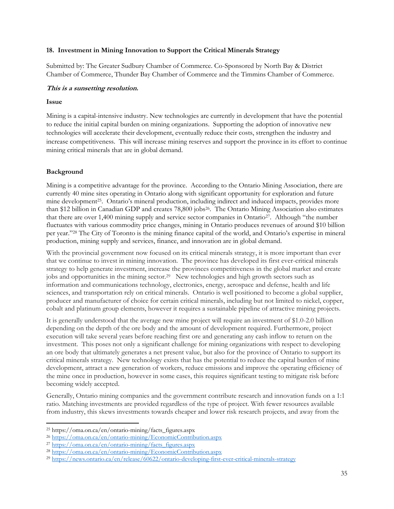#### <span id="page-34-0"></span>**18. Investment in Mining Innovation to Support the Critical Minerals Strategy**

Submitted by: The Greater Sudbury Chamber of Commerce. Co-Sponsored by North Bay & District Chamber of Commerce, Thunder Bay Chamber of Commerce and the Timmins Chamber of Commerce.

#### **This is a sunsetting resolution.**

#### **Issue**

Mining is a capital-intensive industry. New technologies are currently in development that have the potential to reduce the initial capital burden on mining organizations. Supporting the adoption of innovative new technologies will accelerate their development, eventually reduce their costs, strengthen the industry and increase competitiveness. This will increase mining reserves and support the province in its effort to continue mining critical minerals that are in global demand.

#### **Background**

Mining is a competitive advantage for the province. According to the Ontario Mining Association, there are currently 40 mine sites operating in Ontario along with significant opportunity for exploration and future mine development<sup>25</sup>. Ontario's mineral production, including indirect and induced impacts, provides more than \$12 billion in Canadian GDP and creates 78,800 jobs<sup>26</sup>. The Ontario Mining Association also estimates that there are over 1,400 mining supply and service sector companies in Ontario27. Although "the number fluctuates with various commodity price changes, mining in Ontario produces revenues of around \$10 billion per year."<sup>28</sup> The City of Toronto is the mining finance capital of the world, and Ontario's expertise in mineral production, mining supply and services, finance, and innovation are in global demand.

With the provincial government now focused on its critical minerals strategy, it is more important than ever that we continue to invest in mining innovation. The province has developed its first ever-critical minerals strategy to help generate investment, increase the provinces competitiveness in the global market and create jobs and opportunities in the mining sector.<sup>29</sup> New technologies and high growth sectors such as information and communications technology, electronics, energy, aerospace and defense, health and life sciences, and transportation rely on critical minerals. Ontario is well positioned to become a global supplier, producer and manufacturer of choice for certain critical minerals, including but not limited to nickel, copper, cobalt and platinum group elements, however it requires a sustainable pipeline of attractive mining projects.

It is generally understood that the average new mine project will require an investment of \$1.0-2.0 billion depending on the depth of the ore body and the amount of development required. Furthermore, project execution will take several years before reaching first ore and generating any cash inflow to return on the investment. This poses not only a significant challenge for mining organizations with respect to developing an ore body that ultimately generates a net present value, but also for the province of Ontario to support its critical minerals strategy. New technology exists that has the potential to reduce the capital burden of mine development, attract a new generation of workers, reduce emissions and improve the operating efficiency of the mine once in production, however in some cases, this requires significant testing to mitigate risk before becoming widely accepted.

Generally, Ontario mining companies and the government contribute research and innovation funds on a 1:1 ratio. Matching investments are provided regardless of the type of project. With fewer resources available from industry, this skews investments towards cheaper and lower risk research projects, and away from the

<sup>25</sup> https://oma.on.ca/en/ontario-mining/facts\_figures.aspx

<sup>26</sup> <https://oma.on.ca/en/ontario-mining/EconomicContribution.aspx>

<sup>27</sup> [https://oma.on.ca/en/ontario-mining/facts\\_figures.aspx](https://oma.on.ca/en/ontario-mining/facts_figures.aspx)

<sup>28</sup> <https://oma.on.ca/en/ontario-mining/EconomicContribution.aspx>

<sup>29</sup> <https://news.ontario.ca/en/release/60622/ontario-developing-first-ever-critical-minerals-strategy>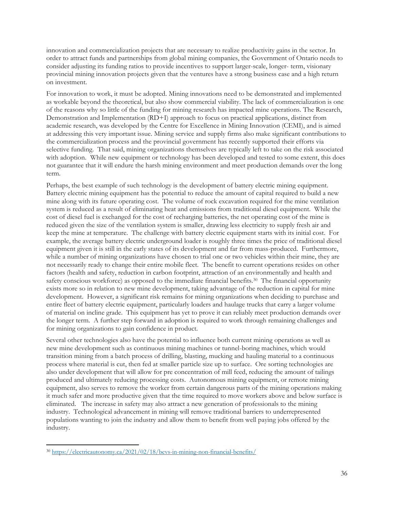innovation and commercialization projects that are necessary to realize productivity gains in the sector. In order to attract funds and partnerships from global mining companies, the Government of Ontario needs to consider adjusting its funding ratios to provide incentives to support larger-scale, longer- term, visionary provincial mining innovation projects given that the ventures have a strong business case and a high return on investment.

For innovation to work, it must be adopted. Mining innovations need to be demonstrated and implemented as workable beyond the theoretical, but also show commercial viability. The lack of commercialization is one of the reasons why so little of the funding for mining research has impacted mine operations. The Research, Demonstration and Implementation (RD+I) approach to focus on practical applications, distinct from academic research, was developed by the Centre for Excellence in Mining Innovation (CEMI), and is aimed at addressing this very important issue. Mining service and supply firms also make significant contributions to the commercialization process and the provincial government has recently supported their efforts via selective funding. That said, mining organizations themselves are typically left to take on the risk associated with adoption. While new equipment or technology has been developed and tested to some extent, this does not guarantee that it will endure the harsh mining environment and meet production demands over the long term.

Perhaps, the best example of such technology is the development of battery electric mining equipment. Battery electric mining equipment has the potential to reduce the amount of capital required to build a new mine along with its future operating cost. The volume of rock excavation required for the mine ventilation system is reduced as a result of eliminating heat and emissions from traditional diesel equipment. While the cost of diesel fuel is exchanged for the cost of recharging batteries, the net operating cost of the mine is reduced given the size of the ventilation system is smaller, drawing less electricity to supply fresh air and keep the mine at temperature. The challenge with battery electric equipment starts with its initial cost. For example, the average battery electric underground loader is roughly three times the price of traditional diesel equipment given it is still in the early states of its development and far from mass-produced. Furthermore, while a number of mining organizations have chosen to trial one or two vehicles within their mine, they are not necessarily ready to change their entire mobile fleet. The benefit to current operations resides on other factors (health and safety, reduction in carbon footprint, attraction of an environmentally and health and safety conscious workforce) as opposed to the immediate financial benefits.<sup>30</sup> The financial opportunity exists more so in relation to new mine development, taking advantage of the reduction in capital for mine development. However, a significant risk remains for mining organizations when deciding to purchase and entire fleet of battery electric equipment, particularly loaders and haulage trucks that carry a larger volume of material on incline grade. This equipment has yet to prove it can reliably meet production demands over the longer term. A further step forward in adoption is required to work through remaining challenges and for mining organizations to gain confidence in product.

Several other technologies also have the potential to influence both current mining operations as well as new mine development such as continuous mining machines or tunnel-boring machines, which would transition mining from a batch process of drilling, blasting, mucking and hauling material to a continuous process where material is cut, then fed at smaller particle size up to surface. Ore sorting technologies are also under development that will allow for pre concentration of mill feed, reducing the amount of tailings produced and ultimately reducing processing costs. Autonomous mining equipment, or remote mining equipment, also serves to remove the worker from certain dangerous parts of the mining operations making it much safer and more productive given that the time required to move workers above and below surface is eliminated. The increase in safety may also attract a new generation of professionals to the mining industry. Technological advancement in mining will remove traditional barriers to underrepresented populations wanting to join the industry and allow them to benefit from well paying jobs offered by the industry.

<sup>30</sup> <https://electricautonomy.ca/2021/02/18/bevs-in-mining-non-financial-benefits/>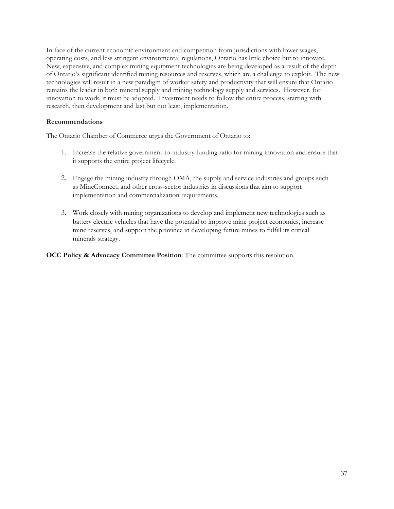In face of the current economic environment and competition from jurisdictions with lower wages, operating costs, and less stringent environmental regulations, Ontario has little choice but to innovate. New, expensive, and complex mining equipment technologies are being developed as a result of the depth of Ontario's significant identified mining resources and reserves, which are a challenge to exploit. The new technologies will result in a new paradigm of worker safety and productivity that will ensure that Ontario remains the leader in both mineral supply and mining technology supply and services. However, for innovation to work, it must be adopted. Investment needs to follow the entire process, starting with research, then development and last but not least, implementation.

#### **Recommendations**

The Ontario Chamber of Commerce urges the Government of Ontario to:

- 1. Increase the relative government-to-industry funding ratio for mining innovation and ensure that it supports the entire project lifecycle.
- 2. Engage the mining industry through OMA, the supply and service industries and groups such as MineConnect, and other cross-sector industries in discussions that aim to support implementation and commercialization requirements.
- 3. Work closely with mining organizations to develop and implement new technologies such as battery electric vehicles that have the potential to improve mine project economics, increase mine reserves, and support the province in developing future mines to fulfill its critical minerals strategy.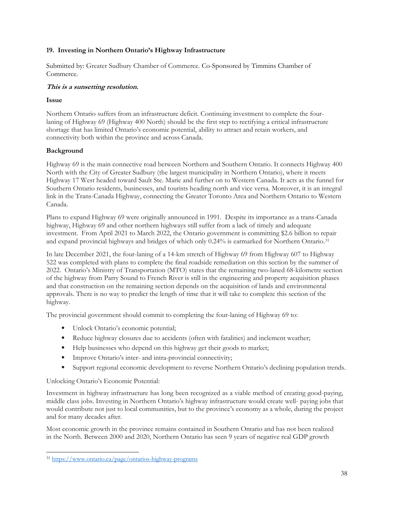# <span id="page-37-0"></span>**19. Investing in Northern Ontario's Highway Infrastructure**

Submitted by: Greater Sudbury Chamber of Commerce. Co-Sponsored by Timmins Chamber of Commerce.

#### **This is a sunsetting resolution.**

#### **Issue**

Northern Ontario suffers from an infrastructure deficit. Continuing investment to complete the fourlaning of Highway 69 (Highway 400 North) should be the first step to rectifying a critical infrastructure shortage that has limited Ontario's economic potential, ability to attract and retain workers, and connectivity both within the province and across Canada.

# **Background**

Highway 69 is the main connective road between Northern and Southern Ontario. It connects Highway 400 North with the City of Greater Sudbury (the largest municipality in Northern Ontario), where it meets Highway 17 West headed toward Sault Ste. Marie and further on to Western Canada. It acts as the funnel for Southern Ontario residents, businesses, and tourists heading north and vice versa. Moreover, it is an integral link in the Trans-Canada Highway, connecting the Greater Toronto Area and Northern Ontario to Western Canada.

Plans to expand Highway 69 were originally announced in 1991. Despite its importance as a trans-Canada highway, Highway 69 and other northern highways still suffer from a lack of timely and adequate investment. From April 2021 to March 2022, the Ontario government is committing \$2.6 billion to repair and expand provincial highways and bridges of which only 0.24% is earmarked for Northern Ontario.<sup>31</sup>

In late December 2021, the four-laning of a 14-km stretch of Highway 69 from Highway 607 to Highway 522 was completed with plans to complete the final roadside remediation on this section by the summer of 2022. Ontario's Ministry of Transportation (MTO) states that the remaining two-laned 68-kilometre section of the highway from Parry Sound to French River is still in the engineering and property acquisition phases and that construction on the remaining section depends on the acquisition of lands and environmental approvals. There is no way to predict the length of time that it will take to complete this section of the highway.

The provincial government should commit to completing the four-laning of Highway 69 to:

- Unlock Ontario's economic potential;
- Reduce highway closures due to accidents (often with fatalities) and inclement weather;
- Help businesses who depend on this highway get their goods to market;
- Improve Ontario's inter- and intra-provincial connectivity;
- Support regional economic development to reverse Northern Ontario's declining population trends.

Unlocking Ontario's Economic Potential:

Investment in highway infrastructure has long been recognized as a viable method of creating good-paying, middle class jobs. Investing in Northern Ontario's highway infrastructure would create well- paying jobs that would contribute not just to local communities, but to the province's economy as a whole, during the project and for many decades after.

Most economic growth in the province remains contained in Southern Ontario and has not been realized in the North. Between 2000 and 2020, Northern Ontario has seen 9 years of negative real GDP growth

<sup>31</sup> <https://www.ontario.ca/page/ontarios-highway-programs>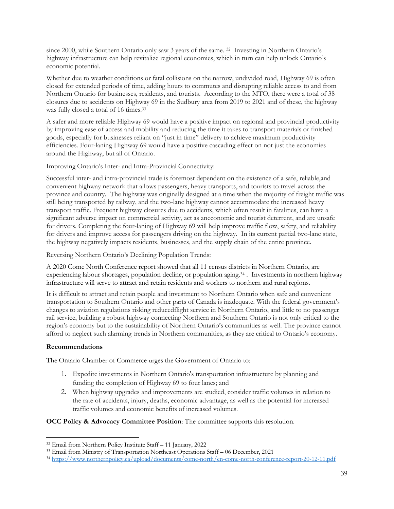since 2000, while Southern Ontario only saw 3 years of the same. <sup>32</sup> Investing in Northern Ontario's highway infrastructure can help revitalize regional economies, which in turn can help unlock Ontario's economic potential.

Whether due to weather conditions or fatal collisions on the narrow, undivided road, Highway 69 is often closed for extended periods of time, adding hours to commutes and disrupting reliable access to and from Northern Ontario for businesses, residents, and tourists. According to the MTO, there were a total of 38 closures due to accidents on Highway 69 in the Sudbury area from 2019 to 2021 and of these, the highway was fully closed a total of 16 times.<sup>33</sup>

A safer and more reliable Highway 69 would have a positive impact on regional and provincial productivity by improving ease of access and mobility and reducing the time it takes to transport materials or finished goods, especially for businesses reliant on "just in time" delivery to achieve maximum productivity efficiencies. Four-laning Highway 69 would have a positive cascading effect on not just the economies around the Highway, but all of Ontario.

Improving Ontario's Inter- and Intra-Provincial Connectivity:

Successful inter- and intra-provincial trade is foremost dependent on the existence of a safe, reliable,and convenient highway network that allows passengers, heavy transports, and tourists to travel across the province and country. The highway was originally designed at a time when the majority of freight traffic was still being transported by railway, and the two-lane highway cannot accommodate the increased heavy transport traffic. Frequent highway closures due to accidents, which often result in fatalities, can have a significant adverse impact on commercial activity, act as aneconomic and tourist deterrent, and are unsafe for drivers. Completing the four-laning of Highway 69 will help improve traffic flow, safety, and reliability for drivers and improve access for passengers driving on the highway. In its current partial two-lane state, the highway negatively impacts residents, businesses, and the supply chain of the entire province.

Reversing Northern Ontario's Declining Population Trends:

A 2020 Come North Conference report showed that all 11 census districts in Northern Ontario, are experiencing labour shortages, population decline, or population aging.<sup>34</sup> . Investments in northern highway infrastructure will serve to attract and retain residents and workers to northern and rural regions.

It is difficult to attract and retain people and investment to Northern Ontario when safe and convenient transportation to Southern Ontario and other parts of Canada is inadequate. With the federal government's changes to aviation regulations risking reduced flight service in Northern Ontario, and little to no passenger rail service, building a robust highway connecting Northern and Southern Ontario is not only critical to the region's economy but to the sustainability of Northern Ontario's communities as well. The province cannot afford to neglect such alarming trends in Northern communities, as they are critical to Ontario's economy.

#### **Recommendations**

The Ontario Chamber of Commerce urges the Government of Ontario to:

- 1. Expedite investments in Northern Ontario's transportation infrastructure by planning and funding the completion of Highway 69 to four lanes; and
- 2. When highway upgrades and improvements are studied, consider traffic volumes in relation to the rate of accidents, injury, deaths, economic advantage, as well as the potential for increased traffic volumes and economic benefits of increased volumes.

<sup>32</sup> Email from Northern Policy Institute Staff – 11 January, 2022

<sup>33</sup> Email from Ministry of Transportation Northeast Operations Staff – 06 December, 2021

<sup>34</sup> <https://www.northernpolicy.ca/upload/documents/come-north/en-come-north-conference-report-20-12-11.pdf>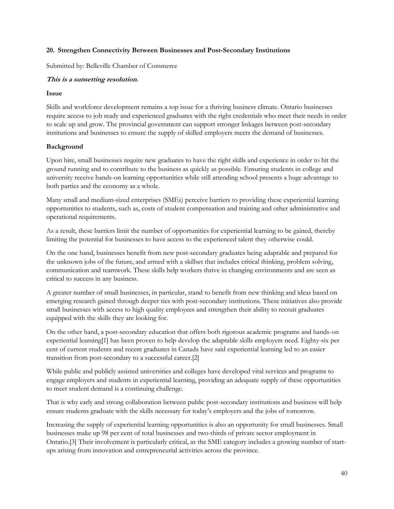#### <span id="page-39-0"></span>**20. Strengthen Connectivity Between Businesses and Post-Secondary Institutions**

Submitted by: Belleville Chamber of Commerce

#### **This is a sunsetting resolution.**

#### **Issue**

Skills and workforce development remains a top issue for a thriving business climate. Ontario businesses require access to job ready and experienced graduates with the right credentials who meet their needs in order to scale up and grow. The provincial government can support stronger linkages between post-secondary institutions and businesses to ensure the supply of skilled employers meets the demand of businesses.

#### **Background**

Upon hire, small businesses require new graduates to have the right skills and experience in order to hit the ground running and to contribute to the business as quickly as possible. Ensuring students in college and university receive hands-on learning opportunities while still attending school presents a huge advantage to both parties and the economy as a whole.

Many small and medium-sized enterprises (SMEs) perceive barriers to providing these experiential learning opportunities to students, such as, costs of student compensation and training and other administrative and operational requirements.

As a result, these barriers limit the number of opportunities for experiential learning to be gained, thereby limiting the potential for businesses to have access to the experienced talent they otherwise could.

On the one hand, businesses benefit from new post-secondary graduates being adaptable and prepared for the unknown jobs of the future, and armed with a skillset that includes critical thinking, problem solving, communication and teamwork. These skills help workers thrive in changing environments and are seen as critical to success in any business.

A greater number of small businesses, in particular, stand to benefit from new thinking and ideas based on emerging research gained through deeper ties with post-secondary institutions. These initiatives also provide small businesses with access to high quality employees and strengthen their ability to recruit graduates equipped with the skills they are looking for.

On the other hand, a post-secondary education that offers both rigorous academic programs and hands-on experiential learning[1] has been proven to help develop the adaptable skills employers need. Eighty-six per cent of current students and recent graduates in Canada have said experiential learning led to an easier transition from post-secondary to a successful career.[2]

While public and publicly assisted universities and colleges have developed vital services and programs to engage employers and students in experiential learning, providing an adequate supply of these opportunities to meet student demand is a continuing challenge.

That is why early and strong collaboration between public post-secondary institutions and business will help ensure students graduate with the skills necessary for today's employers and the jobs of tomorrow.

Increasing the supply of experiential learning opportunities is also an opportunity for small businesses. Small businesses make up 98 per cent of total businesses and two-thirds of private sector employment in Ontario.[3] Their involvement is particularly critical, as the SME category includes a growing number of startups arising from innovation and entrepreneurial activities across the province.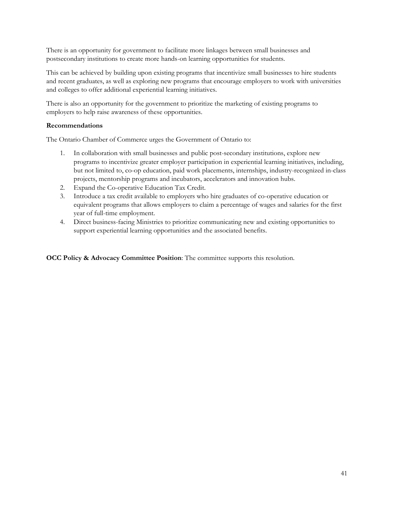There is an opportunity for government to facilitate more linkages between small businesses and postsecondary institutions to create more hands-on learning opportunities for students.

This can be achieved by building upon existing programs that incentivize small businesses to hire students and recent graduates, as well as exploring new programs that encourage employers to work with universities and colleges to offer additional experiential learning initiatives.

There is also an opportunity for the government to prioritize the marketing of existing programs to employers to help raise awareness of these opportunities.

#### **Recommendations**

The Ontario Chamber of Commerce urges the Government of Ontario to:

- 1. In collaboration with small businesses and public post-secondary institutions, explore new programs to incentivize greater employer participation in experiential learning initiatives, including, but not limited to, co-op education, paid work placements, internships, industry-recognized in-class projects, mentorship programs and incubators, accelerators and innovation hubs.
- 2. Expand the Co-operative Education Tax Credit.
- 3. Introduce a tax credit available to employers who hire graduates of co-operative education or equivalent programs that allows employers to claim a percentage of wages and salaries for the first year of full-time employment.
- 4. Direct business-facing Ministries to prioritize communicating new and existing opportunities to support experiential learning opportunities and the associated benefits.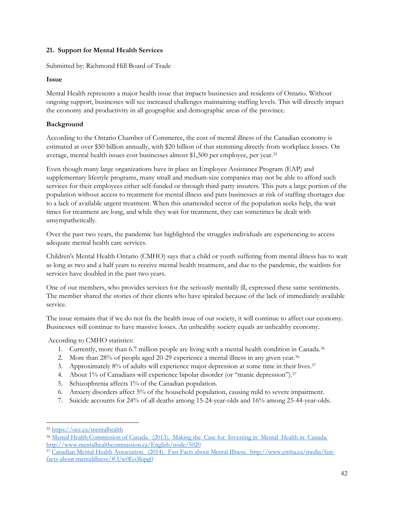# <span id="page-41-0"></span>**21. Support for Mental Health Services**

Submitted by: Richmond Hill Board of Trade

# **Issue**

Mental Health represents a major health issue that impacts businesses and residents of Ontario. Without ongoing support, businesses will see increased challenges maintaining staffing levels. This will directly impact the economy and productivity in all geographic and demographic areas of the province.

# **Background**

According to the Ontario Chamber of Commerce, the cost of mental illness of the Canadian economy is estimated at over \$50 billion annually, with \$20 billion of that stemming directly from workplace losses. On average, mental health issues cost businesses almost \$1,500 per employee, per year.<sup>35</sup>

Even though many large organizations have in place an Employee Assistance Program (EAP) and supplementary lifestyle programs, many small and medium-size companies may not be able to afford such services for their employees either self-funded or through third-party insurers. This puts a large portion of the population without access to treatment for mental illness and puts businesses at risk of staffing shortages due to a lack of available urgent treatment. When this unattended sector of the population seeks help, the wait times for treatment are long, and while they wait for treatment, they can sometimes be dealt with unsympathetically.

Over the past two years, the pandemic has highlighted the struggles individuals are experiencing to access adequate mental health care services.

Children's Mental Health Ontario (CMHO) says that a child or youth suffering from mental illness has to wait as long as two and a half years to receive mental health treatment, and due to the pandemic, the waitlists for services have doubled in the past two years.

One of our members, who provides services for the seriously mentally ill, expressed these same sentiments. The member shared the stories of their clients who have spiraled because of the lack of immediately available service.

The issue remains that if we do not fix the health issue of our society, it will continue to affect our economy. Businesses will continue to have massive losses. An unhealthy society equals an unhealthy economy.

According to CMHO statistics:

- <span id="page-41-1"></span>1. Currently, more than 6.7 million people are living with a mental health condition in Canada.<sup>36</sup>
- 2. More than 28% of people aged 20-29 experience a mental illness in any given year.<sup>[36](#page-41-1)</sup>
- <span id="page-41-2"></span>3. Approximately 8% of adults will experience major depression at some time in their lives.<sup>37</sup>
- 4. About 1% of Canadians will experience bipolar disorder (or "manic depression").<sup>[37](#page-41-2)</sup>
- 5. Schizophrenia affects 1% of the Canadian population.
- 6. Anxiety disorders affect 5% of the household population, causing mild to severe impairment.
- 7. Suicide accounts for 24% of all deaths among 15-24-year-olds and 16% among 25-44-year-olds.

<sup>35</sup> <https://occ.ca/mentalhealth>

<sup>36</sup> Mental Health Commission of Canada. (2013). Making the Case for Investing in Mental Health in Canada. <http://www.mentalhealthcommission.ca/English/node/5020>

<sup>37</sup> Canadian Mental Health Association. (2014). Fast Facts about Mental Illness. http://www.cmha.ca/media/fastfacts-about-mentalillness/#.Uw0Eo3lupg0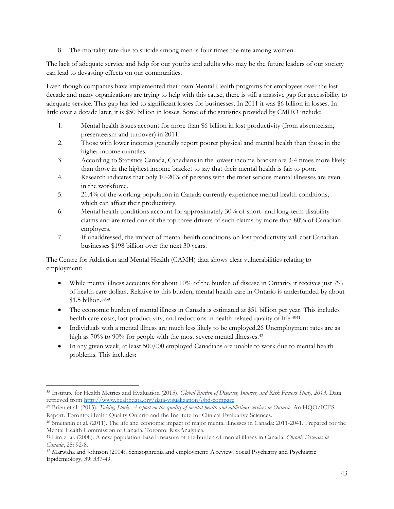8. The mortality rate due to suicide among men is four times the rate among women.

The lack of adequate service and help for our youths and adults who may be the future leaders of our society can lead to devasting effects on our communities.

Even though companies have implemented their own Mental Health programs for employees over the last decade and many organizations are trying to help with this cause, there is still a massive gap for accessibility to adequate service. This gap has led to significant losses for businesses. In 2011 it was \$6 billion in losses. In little over a decade later, it is \$50 billion in losses. Some of the statistics provided by CMHO include:

- 1. Mental health issues account for more than \$6 billion in lost productivity (from absenteeism, presenteeism and turnover) in 2011.
- 2. Those with lower incomes generally report poorer physical and mental health than those in the higher income quintiles.
- 3. According to Statistics Canada, Canadians in the lowest income bracket are 3-4 times more likely than those in the highest income bracket to say that their mental health is fair to poor.
- 4. Research indicates that only 10-20% of persons with the most serious mental illnesses are even in the workforce.
- 5. 21.4% of the working population in Canada currently experience mental health conditions, which can affect their productivity.
- 6. Mental health conditions account for approximately 30% of short- and long-term disability claims and are rated one of the top three drivers of such claims by more than 80% of Canadian employers.
- 7. If unaddressed, the impact of mental health conditions on lost productivity will cost Canadian businesses \$198 billion over the next 30 years.

The Centre for Addiction and Mental Health (CAMH) data shows clear vulnerabilities relating to employment:

- While mental illness accounts for about 10% of the burden of disease in Ontario, it receives just 7% of health care dollars. Relative to this burden, mental health care in Ontario is underfunded by about \$1.5 billion.<sup>3839</sup>
- The economic burden of mental illness in Canada is estimated at \$51 billion per year. This includes health care costs, lost productivity, and reductions in health-related quality of life.<sup>4041</sup>
- Individuals with a mental illness are much less likely to be employed.26 Unemployment rates are as high as 70% to 90% for people with the most severe mental illnesses.<sup>42</sup>
- In any given week, at least 500,000 employed Canadians are unable to work due to mental health problems. This includes:

<sup>38</sup> Institute for Health Metrics and Evaluation (2015). *Global Burden of Diseases, Injuries, and Risk Factors Study, 2013*. Data retrieved from<http://www.healthdata.org/data-visualization/gbd-compare>

<sup>39</sup> Brien et al. (2015). *Taking Stock: A report on the quality of mental health and addictions services in Ontario*. An HQO/ICES Report. Toronto: Health Quality Ontario and the Institute for Clinical Evaluative Sciences.

<sup>40</sup> Smetanin et al. (2011). The life and economic impact of major mental illnesses in Canada: 2011-2041. Prepared for the Mental Health Commission of Canada. Toronto: RiskAnalytica.

<sup>41</sup> Lim et al. (2008). A new population-based measure of the burden of mental illness in Canada. *Chronic Diseases in Canada*, 28: 92-8.

<sup>42</sup> Marwaha and Johnson (2004). Schizophrenia and employment: A review. Social Psychiatry and Psychiatric Epidemiology, 39: 337-49.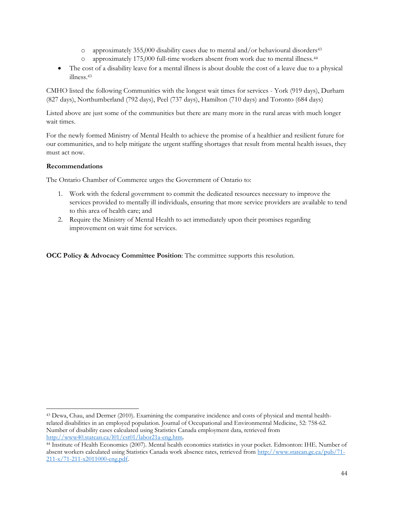- <span id="page-43-0"></span>o approximately 355,000 disability cases due to mental and/or behavioural disorders<sup>43</sup>
- o approximately 175,000 full-time workers absent from work due to mental illness.<sup>44</sup>
- The cost of a disability leave for a mental illness is about double the cost of a leave due to a physical illness.[43](#page-43-0)

CMHO listed the following Communities with the longest wait times for services - York (919 days), Durham (827 days), Northumberland (792 days), Peel (737 days), Hamilton (710 days) and Toronto (684 days)

Listed above are just some of the communities but there are many more in the rural areas with much longer wait times.

For the newly formed Ministry of Mental Health to achieve the promise of a healthier and resilient future for our communities, and to help mitigate the urgent staffing shortages that result from mental health issues, they must act now.

# **Recommendations**

The Ontario Chamber of Commerce urges the Government of Ontario to:

- 1. Work with the federal government to commit the dedicated resources necessary to improve the services provided to mentally ill individuals, ensuring that more service providers are available to tend to this area of health care; and
- 2. Require the Ministry of Mental Health to act immediately upon their promises regarding improvement on wait time for services.

<sup>43</sup> Dewa, Chau, and Dermer (2010). Examining the comparative incidence and costs of physical and mental healthrelated disabilities in an employed population. Journal of Occupational and Environmental Medicine, 52: 758-62. Number of disability cases calculated using Statistics Canada employment data, retrieved from [http://www40.statcan.ca/l01/cst01/labor21a-eng.htm.](http://www40.statcan.ca/l01/cst01/labor21a-eng.htm)

<sup>44</sup> Institute of Health Economics (2007). Mental health economics statistics in your pocket. Edmonton: IHE. Number of absent workers calculated using Statistics Canada work absence rates, retrieved from [http://www.statcan.gc.ca/pub/71-](http://www.statcan.gc.ca/pub/71-211-x/71-211-x2011000-eng.pdf) [211-x/71-211-x2011000-eng.pdf.](http://www.statcan.gc.ca/pub/71-211-x/71-211-x2011000-eng.pdf)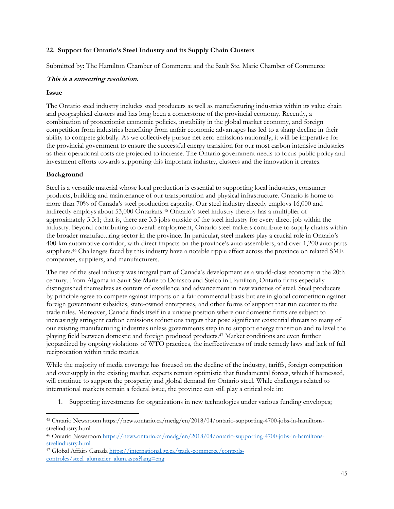#### <span id="page-44-0"></span>**22. Support for Ontario's Steel Industry and its Supply Chain Clusters**

Submitted by: The Hamilton Chamber of Commerce and the Sault Ste. Marie Chamber of Commerce

#### **This is a sunsetting resolution.**

#### **Issue**

The Ontario steel industry includes steel producers as well as manufacturing industries within its value chain and geographical clusters and has long been a cornerstone of the provincial economy. Recently, a combination of protectionist economic policies, instability in the global market economy, and foreign competition from industries benefiting from unfair economic advantages has led to a sharp decline in their ability to compete globally. As we collectively pursue net zero emissions nationally, it will be imperative for the provincial government to ensure the successful energy transition for our most carbon intensive industries as their operational costs are projected to increase. The Ontario government needs to focus public policy and investment efforts towards supporting this important industry, clusters and the innovation it creates.

# **Background**

Steel is a versatile material whose local production is essential to supporting local industries, consumer products, building and maintenance of our transportation and physical infrastructure. Ontario is home to more than 70% of Canada's steel production capacity. Our steel industry directly employs 16,000 and indirectly employs about 53,000 Ontarians.<sup>45</sup> Ontario's steel industry thereby has a multiplier of approximately 3.3:1; that is, there are 3.3 jobs outside of the steel industry for every direct job within the industry. Beyond contributing to overall employment, Ontario steel makers contribute to supply chains within the broader manufacturing sector in the province. In particular, steel makers play a crucial role in Ontario's 400-km automotive corridor, with direct impacts on the province's auto assemblers, and over 1,200 auto parts suppliers.<sup>46</sup> Challenges faced by this industry have a notable ripple effect across the province on related SME companies, suppliers, and manufacturers.

The rise of the steel industry was integral part of Canada's development as a world-class economy in the 20th century. From Algoma in Sault Ste Marie to Dofasco and Stelco in Hamilton, Ontario firms especially distinguished themselves as centers of excellence and advancement in new varieties of steel. Steel producers by principle agree to compete against imports on a fair commercial basis but are in global competition against foreign government subsidies, state-owned enterprises, and other forms of support that run counter to the trade rules. Moreover, Canada finds itself in a unique position where our domestic firms are subject to increasingly stringent carbon emissions reductions targets that pose significant existential threats to many of our existing manufacturing industries unless governments step in to support energy transition and to level the playing field between domestic and foreign produced products.<sup>47</sup> Market conditions are even further jeopardized by ongoing violations of WTO practices, the ineffectiveness of trade remedy laws and lack of full reciprocation within trade treaties.

While the majority of media coverage has focused on the decline of the industry, tariffs, foreign competition and oversupply in the existing market, experts remain optimistic that fundamental forces, which if harnessed, will continue to support the prosperity and global demand for Ontario steel. While challenges related to international markets remain a federal issue, the province can still play a critical role in:

1. Supporting investments for organizations in new technologies under various funding envelopes;

<sup>47</sup> Global Affairs Canada [https://international.gc.ca/trade-commerce/controls](https://international.gc.ca/trade-commerce/controls-controles/steel_alumacier_alum.aspx?lang=eng)[controles/steel\\_alumacier\\_alum.aspx?lang=eng](https://international.gc.ca/trade-commerce/controls-controles/steel_alumacier_alum.aspx?lang=eng)

<sup>45</sup> Ontario Newsroom https://news.ontario.ca/medg/en/2018/04/ontario-supporting-4700-jobs-in-hamiltonssteelindustry.html

<sup>46</sup> Ontario Newsroo[m https://news.ontario.ca/medg/en/2018/04/ontario-supporting-4700-jobs-in-hamiltons](https://news.ontario.ca/medg/en/2018/04/ontario-supporting-4700-jobs-in-hamiltons-steelindustry.html)[steelindustry.html](https://news.ontario.ca/medg/en/2018/04/ontario-supporting-4700-jobs-in-hamiltons-steelindustry.html)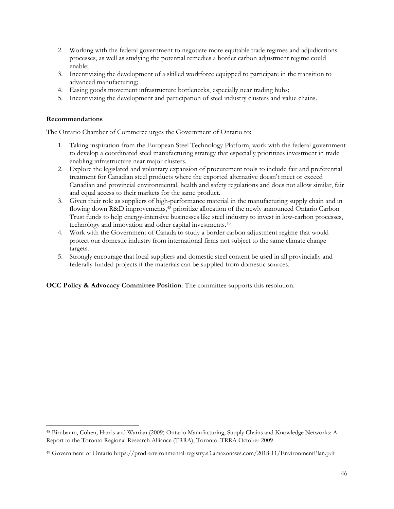- 2. Working with the federal government to negotiate more equitable trade regimes and adjudications processes, as well as studying the potential remedies a border carbon adjustment regime could enable;
- 3. Incentivizing the development of a skilled workforce equipped to participate in the transition to advanced manufacturing;
- 4. Easing goods movement infrastructure bottlenecks, especially near trading hubs;
- 5. Incentivizing the development and participation of steel industry clusters and value chains.

#### **Recommendations**

The Ontario Chamber of Commerce urges the Government of Ontario to:

- 1. Taking inspiration from the European Steel Technology Platform, work with the federal government to develop a coordinated steel manufacturing strategy that especially prioritizes investment in trade enabling infrastructure near major clusters.
- 2. Explore the legislated and voluntary expansion of procurement tools to include fair and preferential treatment for Canadian steel products where the exported alternative doesn't meet or exceed Canadian and provincial environmental, health and safety regulations and does not allow similar, fair and equal access to their markets for the same product.
- 3. Given their role as suppliers of high-performance material in the manufacturing supply chain and in flowing down R&D improvements,<sup>48</sup> prioritize allocation of the newly announced Ontario Carbon Trust funds to help energy-intensive businesses like steel industry to invest in low-carbon processes, technology and innovation and other capital investments.<sup>49</sup>
- 4. Work with the Government of Canada to study a border carbon adjustment regime that would protect our domestic industry from international firms not subject to the same climate change targets.
- 5. Strongly encourage that local suppliers and domestic steel content be used in all provincially and federally funded projects if the materials can be supplied from domestic sources.

<sup>48</sup> Birnbaum, Cohen, Harris and Warrian (2009) Ontario Manufacturing, Supply Chains and Knowledge Networks: A Report to the Toronto Regional Research Alliance (TRRA), Toronto: TRRA October 2009

<sup>49</sup> Government of Ontario https://prod-environmental-registry.s3.amazonaws.com/2018-11/EnvironmentPlan.pdf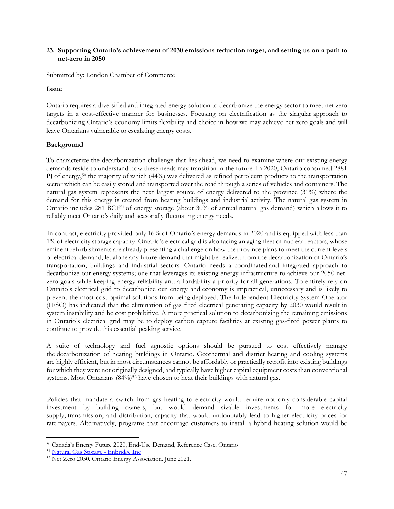#### <span id="page-46-0"></span>**23. Supporting Ontario's achievement of 2030 emissions reduction target, and setting us on a path to net-zero in 2050**

Submitted by: London Chamber of Commerce

#### **Issue**

Ontario requires a diversified and integrated energy solution to decarbonize the energy sector to meet net zero targets in a cost-effective manner for businesses. Focusing on electrification as the singular approach to decarbonizing Ontario's economy limits flexibility and choice in how we may achieve net zero goals and will leave Ontarians vulnerable to escalating energy costs.

#### **Background**

To characterize the decarbonization challenge that lies ahead, we need to examine where our existing energy demands reside to understand how these needs may transition in the future. In 2020, Ontario consumed 2881 PJ of energy,<sup>50</sup> the majority of which (44%) was delivered as refined petroleum products to the transportation sector which can be easily stored and transported over the road through a series of vehicles and containers. The natural gas system represents the next largest source of energy delivered to the province (31%) where the demand for this energy is created from heating buildings and industrial activity. The natural gas system in Ontario includes 281 BCF<sup>51</sup> of energy storage (about 30% of annual natural gas demand) which allows it to reliably meet Ontario's daily and seasonally fluctuating energy needs.

In contrast, electricity provided only 16% of Ontario's energy demands in 2020 and is equipped with less than 1% of electricity storage capacity. Ontario's electrical grid is also facing an aging fleet of nuclear reactors, whose eminent refurbishments are already presenting a challenge on how the province plans to meet the current levels of electrical demand, let alone any future demand that might be realized from the decarbonization of Ontario's transportation, buildings and industrial sectors. Ontario needs a coordinated and integrated approach to decarbonize our energy systems; one that leverages its existing energy infrastructure to achieve our 2050 netzero goals while keeping energy reliability and affordability a priority for all generations. To entirely rely on Ontario's electrical grid to decarbonize our energy and economy is impractical, unnecessary and is likely to prevent the most cost-optimal solutions from being deployed. The Independent Electricity System Operator (IESO) has indicated that the elimination of gas fired electrical generating capacity by 2030 would result in system instability and be cost prohibitive. A more practical solution to decarbonizing the remaining emissions in Ontario's electrical grid may be to deploy carbon capture facilities at existing gas-fired power plants to continue to provide this essential peaking service.

A suite of technology and fuel agnostic options should be pursued to cost effectively manage the decarbonization of heating buildings in Ontario. Geothermal and district heating and cooling systems are highly efficient, but in most circumstances cannot be affordably or practically retrofit into existing buildings for which they were not originally designed, and typically have higher capital equipment costs than conventional systems. Most Ontarians (84%)<sup>52</sup> have chosen to heat their buildings with natural gas.

Policies that mandate a switch from gas heating to electricity would require not only considerable capital investment by building owners, but would demand sizable investments for more electricity supply, transmission, and distribution, capacity that would undoubtably lead to higher electricity prices for rate payers. Alternatively, programs that encourage customers to install a hybrid heating solution would be

<sup>50</sup> Canada's Energy Future 2020, End-Use Demand, Reference Case, Ontario

<sup>51</sup> Natural Gas Storage - Enbridge Inc

<sup>52</sup> Net Zero 2050. Ontario Energy Association. June 2021.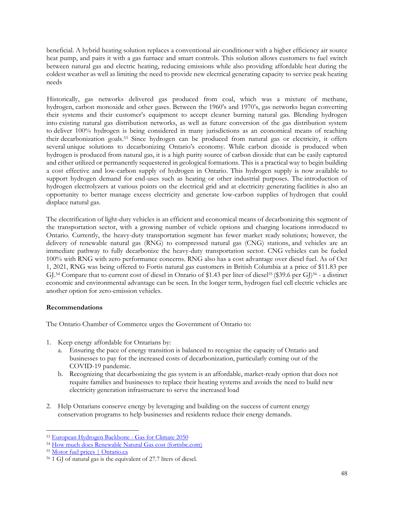beneficial. A hybrid heating solution replaces a conventional air-conditioner with a higher efficiency air source heat pump, and pairs it with a gas furnace and smart controls. This solution allows customers to fuel switch between natural gas and electric heating, reducing emissions while also providing affordable heat during the coldest weather as well as limiting the need to provide new electrical generating capacity to service peak heating needs

Historically, gas networks delivered gas produced from coal, which was a mixture of methane, hydrogen, carbon monoxide and other gases. Between the 1960's and 1970's, gas networks began converting their systems and their customer's equipment to accept cleaner burning natural gas. Blending hydrogen into existing natural gas distribution networks, as well as future conversion of the gas distribution system to deliver 100% hydrogen is being considered in many jurisdictions as an economical means of reaching their decarbonization goals.<sup>53</sup> Since hydrogen can be produced from natural gas or electricity, it offers several unique solutions to decarbonizing Ontario's economy. While carbon dioxide is produced when hydrogen is produced from natural gas, it is a high purity source of carbon dioxide that can be easily captured and either utilized or permanently sequestered in geological formations. This is a practical way to begin building a cost effective and low-carbon supply of hydrogen in Ontario. This hydrogen supply is now available to support hydrogen demand for end-uses such as heating or other industrial purposes. The introduction of hydrogen electrolyzers at various points on the electrical grid and at electricity generating facilities is also an opportunity to better manage excess electricity and generate low-carbon supplies of hydrogen that could displace natural gas.

The electrification of light-duty vehicles is an efficient and economical means of decarbonizing this segment of the transportation sector, with a growing number of vehicle options and charging locations introduced to Ontario. Currently, the heavy-duty transportation segment has fewer market ready solutions; however, the delivery of renewable natural gas (RNG) to compressed natural gas (CNG) stations, and vehicles are an immediate pathway to fully decarbonize the heavy-duty transportation sector. CNG vehicles can be fueled 100% with RNG with zero performance concerns. RNG also has a cost advantage over diesel fuel. As of Oct 1, 2021, RNG was being offered to Fortis natural gas customers in British Columbia at a price of \$11.83 per GJ.<sup>54</sup> Compare that to current cost of diesel in Ontario of \$1.43 per liter of diesel<sup>55</sup> (\$39.6 per GJ)<sup>56</sup> - a distinct economic and environmental advantage can be seen. In the longer term, hydrogen fuel cell electric vehicles are another option for zero-emission vehicles.

# **Recommendations**

The Ontario Chamber of Commerce urges the Government of Ontario to:

- 1. Keep energy affordable for Ontarians by:
	- a. Ensuring the pace of energy transition is balanced to recognize the capacity of Ontario and businesses to pay for the increased costs of decarbonization, particularly coming out of the COVID-19 pandemic.
	- b. Recognizing that decarbonizing the gas system is an affordable, market-ready option that does not require families and businesses to replace their heating systems and avoids the need to build new electricity generation infrastructure to serve the increased load
- 2. Help Ontarians conserve energy by leveraging and building on the success of current energy conservation programs to help businesses and residents reduce their energy demands.

<sup>53</sup> European Hydrogen Backbone - Gas for Climate 2050

<sup>54</sup> How much does Renewable Natural Gas cost (fortisbc.com)

<sup>55</sup> Motor fuel prices | Ontario.ca

<sup>56</sup> 1 GJ of natural gas is the equivalent of 27.7 liters of diesel.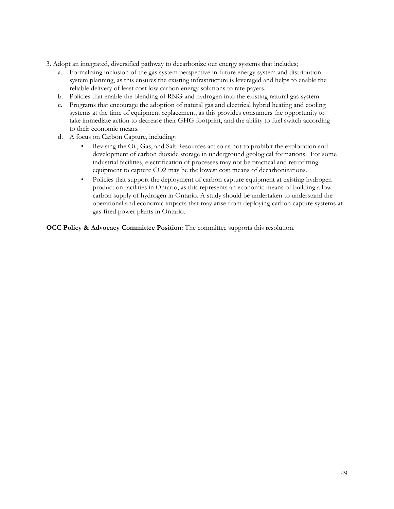- 3. Adopt an integrated, diversified pathway to decarbonize our energy systems that includes;
	- a. Formalizing inclusion of the gas system perspective in future energy system and distribution system planning, as this ensures the existing infrastructure is leveraged and helps to enable the reliable delivery of least cost low carbon energy solutions to rate payers.
	- b. Policies that enable the blending of RNG and hydrogen into the existing natural gas system.
	- c. Programs that encourage the adoption of natural gas and electrical hybrid heating and cooling systems at the time of equipment replacement, as this provides consumers the opportunity to take immediate action to decrease their GHG footprint, and the ability to fuel switch according to their economic means.
	- d. A focus on Carbon Capture, including:
		- Revising the Oil, Gas, and Salt Resources act so as not to prohibit the exploration and development of carbon dioxide storage in underground geological formations. For some industrial facilities, electrification of processes may not be practical and retrofitting equipment to capture CO2 may be the lowest cost means of decarbonizations.
		- Policies that support the deployment of carbon capture equipment at existing hydrogen production facilities in Ontario, as this represents an economic means of building a lowcarbon supply of hydrogen in Ontario. A study should be undertaken to understand the operational and economic impacts that may arise from deploying carbon capture systems at gas-fired power plants in Ontario.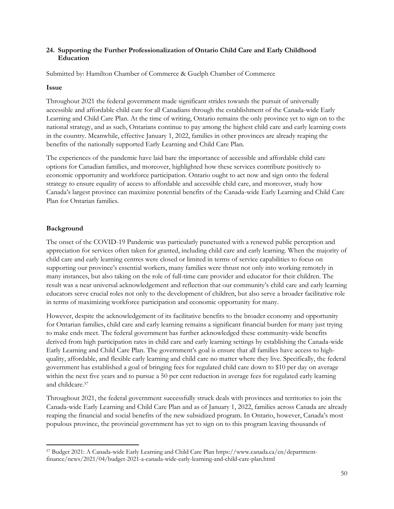#### <span id="page-49-0"></span>**24. Supporting the Further Professionalization of Ontario Child Care and Early Childhood Education**

Submitted by: Hamilton Chamber of Commerce & Guelph Chamber of Commerce

#### **Issue**

Throughout 2021 the federal government made significant strides towards the pursuit of universally accessible and affordable child care for all Canadians through the establishment of the Canada-wide Early Learning and Child Care Plan. At the time of writing, Ontario remains the only province yet to sign on to the national strategy, and as such, Ontarians continue to pay among the highest child care and early learning costs in the country. Meanwhile, effective January 1, 2022, families in other provinces are already reaping the benefits of the nationally supported Early Learning and Child Care Plan.

The experiences of the pandemic have laid bare the importance of accessible and affordable child care options for Canadian families, and moreover, highlighted how these services contribute positively to economic opportunity and workforce participation. Ontario ought to act now and sign onto the federal strategy to ensure equality of access to affordable and accessible child care, and moreover, study how Canada's largest province can maximize potential benefits of the Canada-wide Early Learning and Child Care Plan for Ontarian families.

# **Background**

The onset of the COVID-19 Pandemic was particularly punctuated with a renewed public perception and appreciation for services often taken for granted, including child care and early learning. When the majority of child care and early learning centres were closed or limited in terms of service capabilities to focus on supporting our province's essential workers, many families were thrust not only into working remotely in many instances, but also taking on the role of full-time care provider and educator for their children. The result was a near universal acknowledgement and reflection that our community's child care and early learning educators serve crucial roles not only to the development of children, but also serve a broader facilitative role in terms of maximizing workforce participation and economic opportunity for many.

However, despite the acknowledgement of its facilitative benefits to the broader economy and opportunity for Ontarian families, child care and early learning remains a significant financial burden for many just trying to make ends meet. The federal government has further acknowledged these community-wide benefits derived from high participation rates in child care and early learning settings by establishing the Canada-wide Early Learning and Child Care Plan. The government's goal is ensure that all families have access to highquality, affordable, and flexible early learning and child care no matter where they live. Specifically, the federal government has established a goal of bringing fees for regulated child care down to \$10 per day on average within the next five years and to pursue a 50 per cent reduction in average fees for regulated early learning and childcare.<sup>57</sup>

Throughout 2021, the federal government successfully struck deals with provinces and territories to join the Canada-wide Early Learning and Child Care Plan and as of January 1, 2022, families across Canada are already reaping the financial and social benefits of the new subsidized program. In Ontario, however, Canada's most populous province, the provincial government has yet to sign on to this program leaving thousands of

<sup>57</sup> Budget 2021: A Canada-wide Early Learning and Child Care Plan https://www.canada.ca/en/departmentfinance/news/2021/04/budget-2021-a-canada-wide-early-learning-and-child-care-plan.html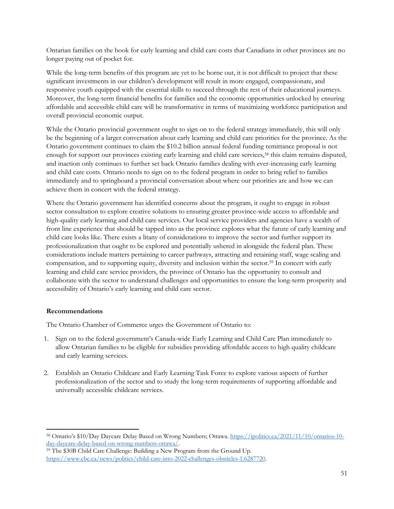Ontarian families on the hook for early learning and child care costs that Canadians in other provinces are no longer paying out of pocket for.

While the long-term benefits of this program are yet to be borne out, it is not difficult to project that these significant investments in our children's development will result in more engaged, compassionate, and responsive youth equipped with the essential skills to succeed through the rest of their educational journeys. Moreover, the long-term financial benefits for families and the economic opportunities unlocked by ensuring affordable and accessible child care will be transformative in terms of maximizing workforce participation and overall provincial economic output.

While the Ontario provincial government ought to sign on to the federal strategy immediately, this will only be the beginning of a larger conversation about early learning and child care priorities for the province. As the Ontario government continues to claim the \$10.2 billion annual federal funding remittance proposal is not enough for support our provinces existing early learning and child care services,<sup>58</sup> this claim remains disputed, and inaction only continues to further set back Ontario families dealing with ever-increasing early learning and child care costs. Ontario needs to sign on to the federal program in order to bring relief to families immediately and to springboard a provincial conversation about where our priorities are and how we can achieve them in concert with the federal strategy.

Where the Ontario government has identified concerns about the program, it ought to engage in robust sector consultation to explore creative solutions to ensuring greater province-wide access to affordable and high-quality early learning and child care services. Our local service providers and agencies have a wealth of front line experience that should be tapped into as the province explores what the future of early learning and child care looks like. There exists a litany of considerations to improve the sector and further support its professionalization that ought to be explored and potentially ushered in alongside the federal plan. These considerations include matters pertaining to career pathways, attracting and retaining staff, wage scaling and compensation, and to supporting equity, diversity and inclusion within the sector.<sup>59</sup> In concert with early learning and child care service providers, the province of Ontario has the opportunity to consult and collaborate with the sector to understand challenges and opportunities to ensure the long-term prosperity and accessibility of Ontario's early learning and child care sector.

#### **Recommendations**

The Ontario Chamber of Commerce urges the Government of Ontario to:

- 1. Sign on to the federal government's Canada-wide Early Learning and Child Care Plan immediately to allow Ontarian families to be eligible for subsidies providing affordable access to high quality childcare and early learning services.
- 2. Establish an Ontario Childcare and Early Learning Task Force to explore various aspects of further professionalization of the sector and to study the long-term requirements of supporting affordable and universally accessible childcare services.

<sup>58</sup> Ontario's \$10/Day Daycare Delay Based on Wrong Numbers; Ottawa. [https://ipolitics.ca/2021/11/10/ontarios-10](https://ipolitics.ca/2021/11/10/ontarios-10-day-daycare-delay-based-on-wrong-numbers-ottawa/) [day-daycare-delay-based-on-wrong-numbers-ottawa/.](https://ipolitics.ca/2021/11/10/ontarios-10-day-daycare-delay-based-on-wrong-numbers-ottawa/) 

<sup>59</sup> The \$30B Child Care Challenge: Building a New Program from the Ground Up. [https://www.cbc.ca/news/politics/child-care-into-2022-challenges-obsticles-1.6287720.](https://www.cbc.ca/news/politics/child-care-into-2022-challenges-obsticles-1.6287720)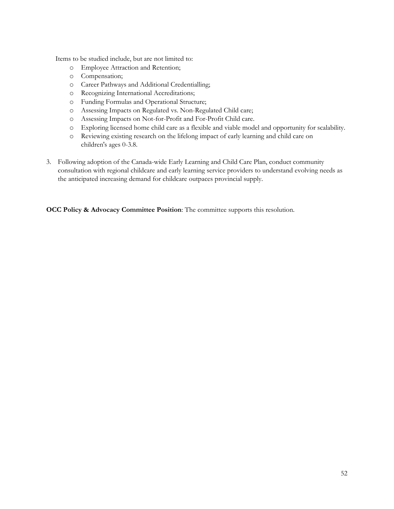Items to be studied include, but are not limited to:

- o Employee Attraction and Retention;
- o Compensation;
- o Career Pathways and Additional Credentialling;
- o Recognizing International Accreditations;
- o Funding Formulas and Operational Structure;
- o Assessing Impacts on Regulated vs. Non-Regulated Child care;
- o Assessing Impacts on Not-for-Profit and For-Profit Child care.
- o Exploring licensed home child care as a flexible and viable model and opportunity for scalability.
- o Reviewing existing research on the lifelong impact of early learning and child care on children's ages 0-3.8.
- 3. Following adoption of the Canada-wide Early Learning and Child Care Plan, conduct community consultation with regional childcare and early learning service providers to understand evolving needs as the anticipated increasing demand for childcare outpaces provincial supply.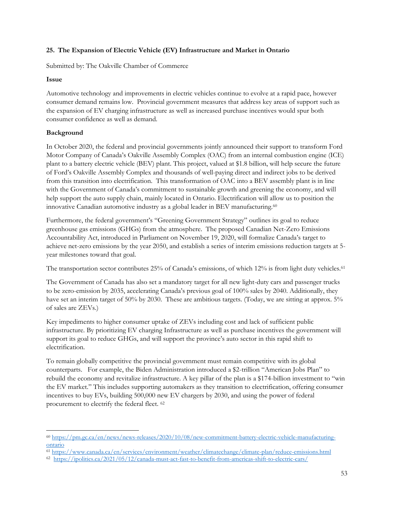# <span id="page-52-0"></span>**25. The Expansion of Electric Vehicle (EV) Infrastructure and Market in Ontario**

Submitted by: The Oakville Chamber of Commerce

#### **Issue**

Automotive technology and improvements in electric vehicles continue to evolve at a rapid pace, however consumer demand remains low. Provincial government measures that address key areas of support such as the expansion of EV charging infrastructure as well as increased purchase incentives would spur both consumer confidence as well as demand.

# **Background**

In October 2020, the federal and provincial governments jointly announced their support to transform Ford Motor Company of Canada's Oakville Assembly Complex (OAC) from an internal combustion engine (ICE) plant to a battery electric vehicle (BEV) plant. This project, valued at \$1.8 billion, will help secure the future of Ford's Oakville Assembly Complex and thousands of well-paying direct and indirect jobs to be derived from this transition into electrification. This transformation of OAC into a BEV assembly plant is in line with the Government of Canada's commitment to sustainable growth and greening the economy, and will help support the auto supply chain, mainly located in Ontario. Electrification will allow us to position the innovative Canadian automotive industry as a global leader in BEV manufacturing.<sup>60</sup>

Furthermore, the federal government's "Greening Government Strategy" outlines its goal to reduce greenhouse gas emissions (GHGs) from the atmosphere. The proposed Canadian Net-Zero Emissions Accountability Act, introduced in Parliament on November 19, 2020, will formalize Canada's target to achieve net-zero emissions by the year 2050, and establish a series of interim emissions reduction targets at 5 year milestones toward that goal.

The transportation sector contributes 25% of Canada's emissions, of which 12% is from light duty vehicles.<sup>61</sup>

The Government of Canada has also set a mandatory target for all new light-duty cars and passenger trucks to be zero-emission by 2035, accelerating Canada's previous goal of 100% sales by 2040. Additionally, they have set an interim target of 50% by 2030. These are ambitious targets. (Today, we are sitting at approx. 5% of sales are ZEVs.)

Key impediments to higher consumer uptake of ZEVs including cost and lack of sufficient public infrastructure. By prioritizing EV charging Infrastructure as well as purchase incentives the government will support its goal to reduce GHGs, and will support the province's auto sector in this rapid shift to electrification.

To remain globally competitive the provincial government must remain competitive with its global counterparts. For example, the Biden Administration introduced a \$2-trillion "American Jobs Plan" to rebuild the economy and revitalize infrastructure. A key pillar of the plan is a \$174-billion investment to "win the EV market." This includes supporting automakers as they transition to electrification, offering consumer incentives to buy EVs, building 500,000 new EV chargers by 2030, and using the power of federal procurement to electrify the federal fleet. <sup>62</sup>

<sup>60</sup> [https://pm.gc.ca/en/news/news-releases/2020/10/08/new-commitment-battery-electric-vehicle-manufacturing](https://pm.gc.ca/en/news/news-releases/2020/10/08/new-commitment-battery-electric-vehicle-manufacturing-ontario)[ontario](https://pm.gc.ca/en/news/news-releases/2020/10/08/new-commitment-battery-electric-vehicle-manufacturing-ontario)

<sup>61</sup> <https://www.canada.ca/en/services/environment/weather/climatechange/climate-plan/reduce-emissions.html>

<sup>62</sup> <https://ipolitics.ca/2021/05/12/canada-must-act-fast-to-benefit-from-americas-shift-to-electric-cars/>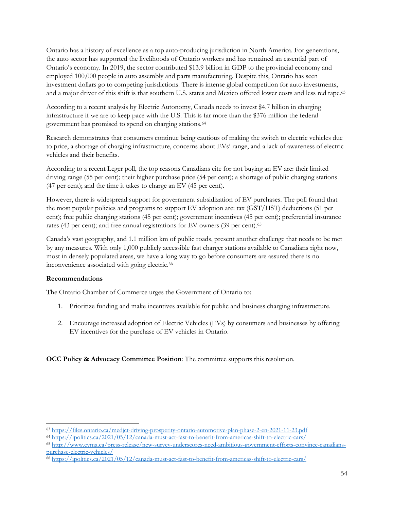Ontario has a history of excellence as a top auto-producing jurisdiction in North America. For generations, the auto sector has supported the livelihoods of Ontario workers and has remained an essential part of Ontario's economy. In 2019, the sector contributed \$13.9 billion in GDP to the provincial economy and employed 100,000 people in auto assembly and parts manufacturing. Despite this, Ontario has seen investment dollars go to competing jurisdictions. There is intense global competition for auto investments, and a major driver of this shift is that southern U.S. states and Mexico offered lower costs and less red tape.<sup>63</sup>

According to a recent analysis by Electric Autonomy, Canada needs to invest \$4.7 billion in charging infrastructure if we are to keep pace with the U.S. This is far more than the \$376 million the federal government has promised to spend on charging stations.<sup>64</sup>

Research demonstrates that consumers continue being cautious of making the switch to electric vehicles due to price, a shortage of charging infrastructure, concerns about EVs' range, and a lack of awareness of electric vehicles and their benefits.

According to a recent Leger poll, the top reasons Canadians cite for not buying an EV are: their limited driving range (55 per cent); their higher purchase price (54 per cent); a shortage of public charging stations (47 per cent); and the time it takes to charge an EV (45 per cent).

However, there is widespread support for government subsidization of EV purchases. The poll found that the most popular policies and programs to support EV adoption are: tax (GST/HST) deductions (51 per cent); free public charging stations (45 per cent); government incentives (45 per cent); preferential insurance rates (43 per cent); and free annual registrations for EV owners (39 per cent).<sup>65</sup>

Canada's vast geography, and 1.1 million km of public roads, present another challenge that needs to be met by any measures. With only 1,000 publicly accessible fast charger stations available to Canadians right now, most in densely populated areas, we have a long way to go before consumers are assured there is no inconvenience associated with going electric.<sup>66</sup>

#### **Recommendations**

The Ontario Chamber of Commerce urges the Government of Ontario to:

- 1. Prioritize funding and make incentives available for public and business charging infrastructure.
- 2. Encourage increased adoption of Electric Vehicles (EVs) by consumers and businesses by offering EV incentives for the purchase of EV vehicles in Ontario.

<sup>63</sup> <https://files.ontario.ca/medjct-driving-prosperity-ontario-automotive-plan-phase-2-en-2021-11-23.pdf>

<sup>64</sup> <https://ipolitics.ca/2021/05/12/canada-must-act-fast-to-benefit-from-americas-shift-to-electric-cars/>

<sup>65</sup> [http://www.cvma.ca/press-release/new-survey-underscores-need-ambitious-government-efforts-convince-canadians](http://www.cvma.ca/press-release/new-survey-underscores-need-ambitious-government-efforts-convince-canadians-purchase-electric-vehicles/)[purchase-electric-vehicles/](http://www.cvma.ca/press-release/new-survey-underscores-need-ambitious-government-efforts-convince-canadians-purchase-electric-vehicles/) 

<sup>66</sup> <https://ipolitics.ca/2021/05/12/canada-must-act-fast-to-benefit-from-americas-shift-to-electric-cars/>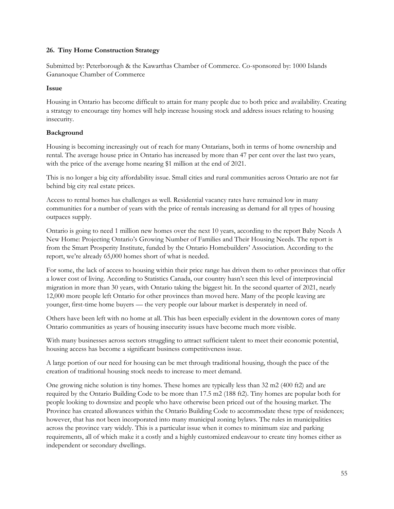#### <span id="page-54-0"></span>**26. Tiny Home Construction Strategy**

Submitted by: Peterborough & the Kawarthas Chamber of Commerce. Co-sponsored by: 1000 Islands Gananoque Chamber of Commerce

#### **Issue**

Housing in Ontario has become difficult to attain for many people due to both price and availability. Creating a strategy to encourage tiny homes will help increase housing stock and address issues relating to housing insecurity.

# **Background**

Housing is becoming increasingly out of reach for many Ontarians, both in terms of home ownership and rental. The average house price in Ontario has increased by more than 47 per cent over the last two years, with the price of the average home nearing \$1 million at the end of 2021.

This is no longer a big city affordability issue. Small cities and rural communities across Ontario are not far behind big city real estate prices.

Access to rental homes has challenges as well. Residential vacancy rates have remained low in many communities for a number of years with the price of rentals increasing as demand for all types of housing outpaces supply.

Ontario is going to need 1 million new homes over the next 10 years, according to the report Baby Needs A New Home: Projecting Ontario's Growing Number of Families and Their Housing Needs. The report is from the Smart Prosperity Institute, funded by the Ontario Homebuilders' Association. According to the report, we're already 65,000 homes short of what is needed.

For some, the lack of access to housing within their price range has driven them to other provinces that offer a lower cost of living. According to Statistics Canada, our country hasn't seen this level of interprovincial migration in more than 30 years, with Ontario taking the biggest hit. In the second quarter of 2021, nearly 12,000 more people left Ontario for other provinces than moved here. Many of the people leaving are younger, first-time home buyers — the very people our labour market is desperately in need of.

Others have been left with no home at all. This has been especially evident in the downtown cores of many Ontario communities as years of housing insecurity issues have become much more visible.

With many businesses across sectors struggling to attract sufficient talent to meet their economic potential, housing access has become a significant business competitiveness issue.

A large portion of our need for housing can be met through traditional housing, though the pace of the creation of traditional housing stock needs to increase to meet demand.

One growing niche solution is tiny homes. These homes are typically less than 32 m2 (400 ft2) and are required by the Ontario Building Code to be more than 17.5 m2 (188 ft2). Tiny homes are popular both for people looking to downsize and people who have otherwise been priced out of the housing market. The Province has created allowances within the Ontario Building Code to accommodate these type of residences; however, that has not been incorporated into many municipal zoning bylaws. The rules in municipalities across the province vary widely. This is a particular issue when it comes to minimum size and parking requirements, all of which make it a costly and a highly customized endeavour to create tiny homes either as independent or secondary dwellings.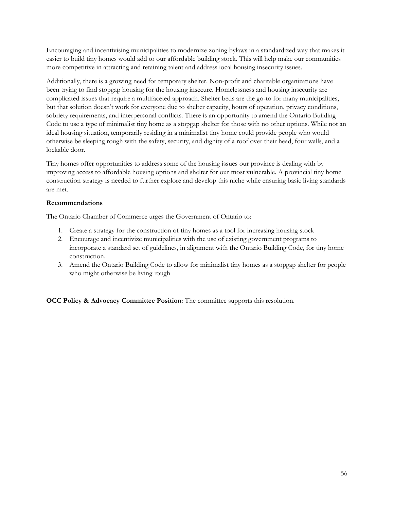Encouraging and incentivising municipalities to modernize zoning bylaws in a standardized way that makes it easier to build tiny homes would add to our affordable building stock. This will help make our communities more competitive in attracting and retaining talent and address local housing insecurity issues.

Additionally, there is a growing need for temporary shelter. Non-profit and charitable organizations have been trying to find stopgap housing for the housing insecure. Homelessness and housing insecurity are complicated issues that require a multifaceted approach. Shelter beds are the go-to for many municipalities, but that solution doesn't work for everyone due to shelter capacity, hours of operation, privacy conditions, sobriety requirements, and interpersonal conflicts. There is an opportunity to amend the Ontario Building Code to use a type of minimalist tiny home as a stopgap shelter for those with no other options. While not an ideal housing situation, temporarily residing in a minimalist tiny home could provide people who would otherwise be sleeping rough with the safety, security, and dignity of a roof over their head, four walls, and a lockable door.

Tiny homes offer opportunities to address some of the housing issues our province is dealing with by improving access to affordable housing options and shelter for our most vulnerable. A provincial tiny home construction strategy is needed to further explore and develop this niche while ensuring basic living standards are met.

#### **Recommendations**

The Ontario Chamber of Commerce urges the Government of Ontario to:

- 1. Create a strategy for the construction of tiny homes as a tool for increasing housing stock
- 2. Encourage and incentivize municipalities with the use of existing government programs to incorporate a standard set of guidelines, in alignment with the Ontario Building Code, for tiny home construction.
- 3. Amend the Ontario Building Code to allow for minimalist tiny homes as a stopgap shelter for people who might otherwise be living rough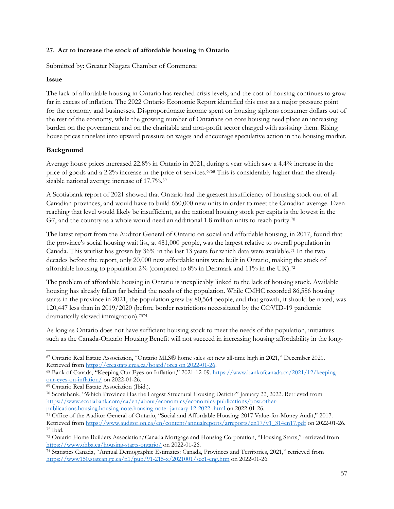#### <span id="page-56-0"></span>**27. Act to increase the stock of affordable housing in Ontario**

Submitted by: Greater Niagara Chamber of Commerce

#### **Issue**

The lack of affordable housing in Ontario has reached crisis levels, and the cost of housing continues to grow far in excess of inflation. The 2022 Ontario Economic Report identified this cost as a major pressure point for the economy and businesses. Disproportionate income spent on housing siphons consumer dollars out of the rest of the economy, while the growing number of Ontarians on core housing need place an increasing burden on the government and on the charitable and non-profit sector charged with assisting them. Rising house prices translate into upward pressure on wages and encourage speculative action in the housing market.

#### **Background**

Average house prices increased 22.8% in Ontario in 2021, during a year which saw a 4.4% increase in the price of goods and a 2.2% increase in the price of services.<sup>6768</sup> This is considerably higher than the alreadysizable national average increase of 17.7%.<sup>69</sup>

A Scotiabank report of 2021 showed that Ontario had the greatest insufficiency of housing stock out of all Canadian provinces, and would have to build 650,000 new units in order to meet the Canadian average. Even reaching that level would likely be insufficient, as the national housing stock per capita is the lowest in the G7, and the country as a whole would need an additional 1.8 million units to reach parity.<sup>70</sup>

The latest report from the Auditor General of Ontario on social and affordable housing, in 2017, found that the province's social housing wait list, at 481,000 people, was the largest relative to overall population in Canada. This waitlist has grown by 36% in the last 13 years for which data were available.<sup>71</sup> In the two decades before the report, only 20,000 new affordable units were built in Ontario, making the stock of affordable housing to population 2% (compared to 8% in Denmark and 11% in the UK).<sup>72</sup>

The problem of affordable housing in Ontario is inexplicably linked to the lack of housing stock. Available housing has already fallen far behind the needs of the population. While CMHC recorded 86,586 housing starts in the province in 2021, the population grew by 80,564 people, and that growth, it should be noted, was 120,447 less than in 2019/2020 (before border restrictions necessitated by the COVID-19 pandemic dramatically slowed immigration).<sup>7374</sup>

As long as Ontario does not have sufficient housing stock to meet the needs of the population, initiatives such as the Canada-Ontario Housing Benefit will not succeed in increasing housing affordability in the long-

<sup>67</sup> Ontario Real Estate Association, "Ontario MLS® home sales set new all-time high in 2021," December 2021. Retrieved from [https://creastats.crea.ca/board/orea on 2022-01-26.](https://creastats.crea.ca/board/orea%20on%202022-01-26)

<sup>68</sup> Bank of Canada, "Keeping Our Eyes on Inflation," 2021-12-09[. https://www.bankofcanada.ca/2021/12/keeping](https://www.bankofcanada.ca/2021/12/keeping-our-eyes-on-inflation/)[our-eyes-on-inflation/](https://www.bankofcanada.ca/2021/12/keeping-our-eyes-on-inflation/) on 2022-01-26.

<sup>69</sup> Ontario Real Estate Association (Ibid.).

<sup>70</sup> Scotiabank, "Which Province Has the Largest Structural Housing Deficit?" January 22, 2022. Retrieved from [https://www.scotiabank.com/ca/en/about/economics/economics-publications/post.other](https://www.scotiabank.com/ca/en/about/economics/economics-publications/post.other-publications.housing.housing-note.housing-note--january-12-2022-.html)[publications.housing.housing-note.housing-note--january-12-2022-.html](https://www.scotiabank.com/ca/en/about/economics/economics-publications/post.other-publications.housing.housing-note.housing-note--january-12-2022-.html) on 2022-01-26.

<sup>71</sup> Office of the Auditor General of Ontario, "Social and Affordable Housing: 2017 Value-for-Money Audit," 2017. Retrieved from [https://www.auditor.on.ca/en/content/annualreports/arreports/en17/v1\\_314en17.pdf](https://www.auditor.on.ca/en/content/annualreports/arreports/en17/v1_314en17.pdf) on 2022-01-26. <sup>72</sup> Ibid.

<sup>73</sup> Ontario Home Builders Association/Canada Mortgage and Housing Corporation, "Housing Starts," retrieved from <https://www.ohba.ca/housing-starts-ontario/> on 2022-01-26.

<sup>74</sup> Statistics Canada, "Annual Demographic Estimates: Canada, Provinces and Territories, 2021," retrieved from <https://www150.statcan.gc.ca/n1/pub/91-215-x/2021001/sec1-eng.htm> on 2022-01-26.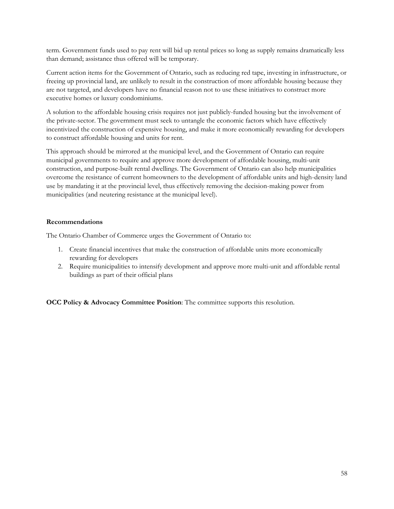term. Government funds used to pay rent will bid up rental prices so long as supply remains dramatically less than demand; assistance thus offered will be temporary.

Current action items for the Government of Ontario, such as reducing red tape, investing in infrastructure, or freeing up provincial land, are unlikely to result in the construction of more affordable housing because they are not targeted, and developers have no financial reason not to use these initiatives to construct more executive homes or luxury condominiums.

A solution to the affordable housing crisis requires not just publicly-funded housing but the involvement of the private-sector. The government must seek to untangle the economic factors which have effectively incentivized the construction of expensive housing, and make it more economically rewarding for developers to construct affordable housing and units for rent.

This approach should be mirrored at the municipal level, and the Government of Ontario can require municipal governments to require and approve more development of affordable housing, multi-unit construction, and purpose-built rental dwellings. The Government of Ontario can also help municipalities overcome the resistance of current homeowners to the development of affordable units and high-density land use by mandating it at the provincial level, thus effectively removing the decision-making power from municipalities (and neutering resistance at the municipal level).

#### **Recommendations**

The Ontario Chamber of Commerce urges the Government of Ontario to:

- 1. Create financial incentives that make the construction of affordable units more economically rewarding for developers
- 2. Require municipalities to intensify development and approve more multi-unit and affordable rental buildings as part of their official plans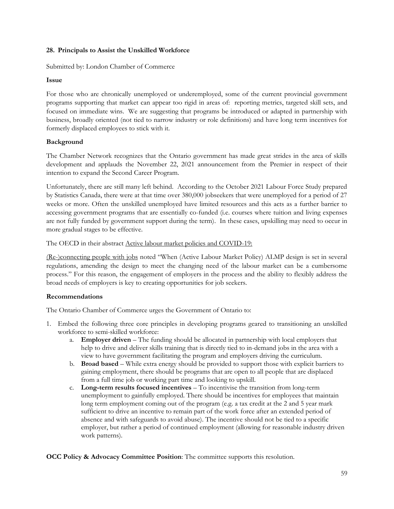#### <span id="page-58-0"></span>**28. Principals to Assist the Unskilled Workforce**

Submitted by: London Chamber of Commerce

#### **Issue**

For those who are chronically unemployed or underemployed, some of the current provincial government programs supporting that market can appear too rigid in areas of: reporting metrics, targeted skill sets, and focused on immediate wins. We are suggesting that programs be introduced or adapted in partnership with business, broadly oriented (not tied to narrow industry or role definitions) and have long term incentives for formerly displaced employees to stick with it.

#### **Background**

The Chamber Network recognizes that the Ontario government has made great strides in the area of skills development and applauds the November 22, 2021 announcement from the Premier in respect of their intention to expand the Second Career Program.

Unfortunately, there are still many left behind. According to the October 2021 Labour Force Study prepared by Statistics Canada, there were at that time over 380,000 jobseekers that were unemployed for a period of 27 weeks or more. Often the unskilled unemployed have limited resources and this acts as a further barrier to accessing government programs that are essentially co-funded (i.e. courses where tuition and living expenses are not fully funded by government support during the term). In these cases, upskilling may need to occur in more gradual stages to be effective.

The OECD in their abstract Active labour market policies and COVID-19:

(Re-)connecting people with jobs noted "When (Active Labour Market Policy) ALMP design is set in several regulations, amending the design to meet the changing need of the labour market can be a cumbersome process." For this reason, the engagement of employers in the process and the ability to flexibly address the broad needs of employers is key to creating opportunities for job seekers.

#### **Recommendations**

The Ontario Chamber of Commerce urges the Government of Ontario to:

- 1. Embed the following three core principles in developing programs geared to transitioning an unskilled workforce to semi-skilled workforce:
	- a. **Employer driven** The funding should be allocated in partnership with local employers that help to drive and deliver skills training that is directly tied to in-demand jobs in the area with a view to have government facilitating the program and employers driving the curriculum.
	- b. **Broad based** While extra energy should be provided to support those with explicit barriers to gaining employment, there should be programs that are open to all people that are displaced from a full time job or working part time and looking to upskill.
	- c. **Long-term results focused incentives** To incentivise the transition from long-term unemployment to gainfully employed. There should be incentives for employees that maintain long term employment coming out of the program (e.g. a tax credit at the 2 and 5 year mark sufficient to drive an incentive to remain part of the work force after an extended period of absence and with safeguards to avoid abuse). The incentive should not be tied to a specific employer, but rather a period of continued employment (allowing for reasonable industry driven work patterns).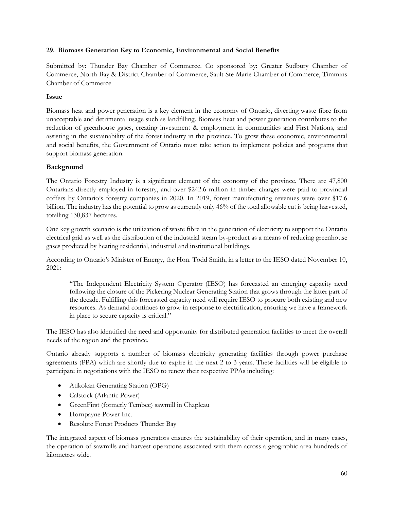#### <span id="page-59-0"></span>**29. Biomass Generation Key to Economic, Environmental and Social Benefits**

Submitted by: Thunder Bay Chamber of Commerce. Co sponsored by: Greater Sudbury Chamber of Commerce, North Bay & District Chamber of Commerce, Sault Ste Marie Chamber of Commerce, Timmins Chamber of Commerce

#### **Issue**

Biomass heat and power generation is a key element in the economy of Ontario, diverting waste fibre from unacceptable and detrimental usage such as landfilling. Biomass heat and power generation contributes to the reduction of greenhouse gases, creating investment & employment in communities and First Nations, and assisting in the sustainability of the forest industry in the province. To grow these economic, environmental and social benefits, the Government of Ontario must take action to implement policies and programs that support biomass generation.

#### **Background**

The Ontario Forestry Industry is a significant element of the economy of the province. There are 47,800 Ontarians directly employed in forestry, and over \$242.6 million in timber charges were paid to provincial coffers by Ontario's forestry companies in 2020. In 2019, forest manufacturing revenues were over \$17.6 billion. The industry has the potential to grow as currently only 46% of the total allowable cut is being harvested, totalling 130,837 hectares.

One key growth scenario is the utilization of waste fibre in the generation of electricity to support the Ontario electrical grid as well as the distribution of the industrial steam by-product as a means of reducing greenhouse gases produced by heating residential, industrial and institutional buildings.

According to Ontario's Minister of Energy, the Hon. Todd Smith, in a letter to the IESO dated November 10, 2021:

"The Independent Electricity System Operator (IESO) has forecasted an emerging capacity need following the closure of the Pickering Nuclear Generating Station that grows through the latter part of the decade. Fulfilling this forecasted capacity need will require IESO to procure both existing and new resources. As demand continues to grow in response to electrification, ensuring we have a framework in place to secure capacity is critical."

The IESO has also identified the need and opportunity for distributed generation facilities to meet the overall needs of the region and the province.

Ontario already supports a number of biomass electricity generating facilities through power purchase agreements (PPA) which are shortly due to expire in the next 2 to 3 years. These facilities will be eligible to participate in negotiations with the IESO to renew their respective PPAs including:

- Atikokan Generating Station (OPG)
- Calstock (Atlantic Power)
- GreenFirst (formerly Tembec) sawmill in Chapleau
- Hornpayne Power Inc.
- Resolute Forest Products Thunder Bay

The integrated aspect of biomass generators ensures the sustainability of their operation, and in many cases, the operation of sawmills and harvest operations associated with them across a geographic area hundreds of kilometres wide.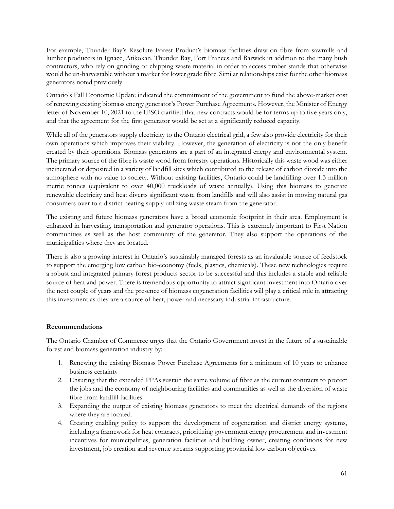For example, Thunder Bay's Resolute Forest Product's biomass facilities draw on fibre from sawmills and lumber producers in Ignace, Atikokan, Thunder Bay, Fort Frances and Barwick in addition to the many bush contractors, who rely on grinding or chipping waste material in order to access timber stands that otherwise would be un-harvestable without a market for lower grade fibre. Similar relationships exist for the other biomass generators noted previously.

Ontario's Fall Economic Update indicated the commitment of the government to fund the above-market cost of renewing existing biomass energy generator's Power Purchase Agreements. However, the Minister of Energy letter of November 10, 2021 to the IESO clarified that new contracts would be for terms up to five years only, and that the agreement for the first generator would be set at a significantly reduced capacity.

While all of the generators supply electricity to the Ontario electrical grid, a few also provide electricity for their own operations which improves their viability. However, the generation of electricity is not the only benefit created by their operations. Biomass generators are a part of an integrated energy and environmental system. The primary source of the fibre is waste wood from forestry operations. Historically this waste wood was either incinerated or deposited in a variety of landfill sites which contributed to the release of carbon dioxide into the atmosphere with no value to society. Without existing facilities, Ontario could be landfilling over 1.3 million metric tonnes (equivalent to over 40,000 truckloads of waste annually). Using this biomass to generate renewable electricity and heat diverts significant waste from landfills and will also assist in moving natural gas consumers over to a district heating supply utilizing waste steam from the generator.

The existing and future biomass generators have a broad economic footprint in their area. Employment is enhanced in harvesting, transportation and generator operations. This is extremely important to First Nation communities as well as the host community of the generator. They also support the operations of the municipalities where they are located.

There is also a growing interest in Ontario's sustainably managed forests as an invaluable source of feedstock to support the emerging low carbon bio-economy (fuels, plastics, chemicals). These new technologies require a robust and integrated primary forest products sector to be successful and this includes a stable and reliable source of heat and power. There is tremendous opportunity to attract significant investment into Ontario over the next couple of years and the presence of biomass cogeneration facilities will play a critical role in attracting this investment as they are a source of heat, power and necessary industrial infrastructure.

#### **Recommendations**

The Ontario Chamber of Commerce urges that the Ontario Government invest in the future of a sustainable forest and biomass generation industry by:

- 1. Renewing the existing Biomass Power Purchase Agreements for a minimum of 10 years to enhance business certainty
- 2. Ensuring that the extended PPAs sustain the same volume of fibre as the current contracts to protect the jobs and the economy of neighbouring facilities and communities as well as the diversion of waste fibre from landfill facilities.
- 3. Expanding the output of existing biomass generators to meet the electrical demands of the regions where they are located.
- 4. Creating enabling policy to support the development of cogeneration and district energy systems, including a framework for heat contracts, prioritizing government energy procurement and investment incentives for municipalities, generation facilities and building owner, creating conditions for new investment, job creation and revenue streams supporting provincial low carbon objectives.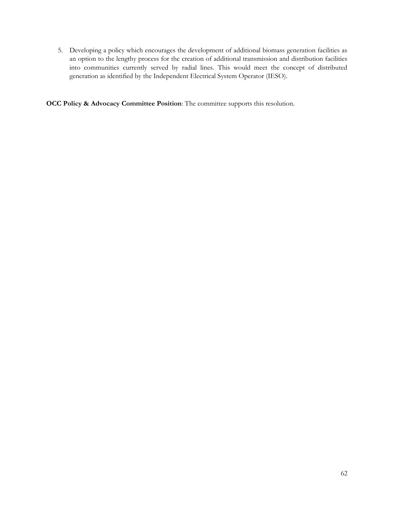5. Developing a policy which encourages the development of additional biomass generation facilities as an option to the lengthy process for the creation of additional transmission and distribution facilities into communities currently served by radial lines. This would meet the concept of distributed generation as identified by the Independent Electrical System Operator (IESO).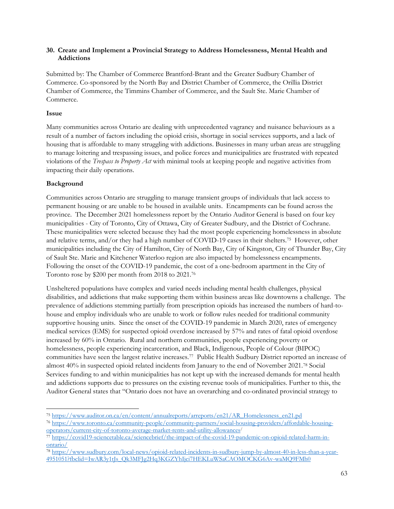#### <span id="page-62-0"></span>**30. Create and Implement a Provincial Strategy to Address Homelessness, Mental Health and Addictions**

Submitted by: The Chamber of Commerce Brantford-Brant and the Greater Sudbury Chamber of Commerce. Co-sponsored by the North Bay and District Chamber of Commerce, the Orillia District Chamber of Commerce, the Timmins Chamber of Commerce, and the Sault Ste. Marie Chamber of Commerce.

#### **Issue**

Many communities across Ontario are dealing with unprecedented vagrancy and nuisance behaviours as a result of a number of factors including the opioid crisis, shortage in social services supports, and a lack of housing that is affordable to many struggling with addictions. Businesses in many urban areas are struggling to manage loitering and trespassing issues, and police forces and municipalities are frustrated with repeated violations of the *Trespass to Property Act* with minimal tools at keeping people and negative activities from impacting their daily operations.

# **Background**

Communities across Ontario are struggling to manage transient groups of individuals that lack access to permanent housing or are unable to be housed in available units. Encampments can be found across the province. The December 2021 homelessness report by the Ontario Auditor General is based on four key municipalities - City of Toronto, City of Ottawa, City of Greater Sudbury, and the District of Cochrane. These municipalities were selected because they had the most people experiencing homelessness in absolute and relative terms, and/or they had a high number of COVID-19 cases in their shelters.<sup>75</sup> However, other municipalities including the City of Hamilton, City of North Bay, City of Kingston, City of Thunder Bay, City of Sault Ste. Marie and Kitchener Waterloo region are also impacted by homelessness encampments. Following the onset of the COVID-19 pandemic, the cost of a one-bedroom apartment in the City of Toronto rose by \$200 per month from 2018 to 2021.<sup>76</sup>

Unsheltered populations have complex and varied needs including mental health challenges, physical disabilities, and addictions that make supporting them within business areas like downtowns a challenge. The prevalence of addictions stemming partially from prescription opioids has increased the numbers of hard-tohouse and employ individuals who are unable to work or follow rules needed for traditional community supportive housing units. Since the onset of the COVID-19 pandemic in March 2020, rates of emergency medical services (EMS) for suspected opioid overdose increased by 57% and rates of fatal opioid overdose increased by 60% in Ontario. Rural and northern communities, people experiencing poverty or homelessness, people experiencing incarceration, and Black, Indigenous, People of Colour (BIPOC) communities have seen the largest relative increases.<sup>77</sup> Public Health Sudbury District reported an increase of almost 40% in suspected opioid related incidents from January to the end of November 2021.<sup>78</sup> Social Services funding to and within municipalities has not kept up with the increased demands for mental health and addictions supports due to pressures on the existing revenue tools of municipalities. Further to this, the Auditor General states that "Ontario does not have an overarching and co-ordinated provincial strategy to

<sup>75</sup> [https://www.auditor.on.ca/en/content/annualreports/arreports/en21/AR\\_Homelessness\\_en21.pd](https://www.auditor.on.ca/en/content/annualreports/arreports/en21/AR_Homelessness_en21.pdf)

<sup>76</sup> [https://www.toronto.ca/community-people/community-partners/social-housing-providers/affordable-housing](https://www.toronto.ca/community-people/community-partners/social-housing-providers/affordable-housing-operators/current-city-of-toronto-average-market-rents-and-utility-allowances/)[operators/current-city-of-toronto-average-market-rents-and-utility-allowances](https://www.toronto.ca/community-people/community-partners/social-housing-providers/affordable-housing-operators/current-city-of-toronto-average-market-rents-and-utility-allowances/)/

 $77$  [https://covid19-sciencetable.ca/sciencebrief/the-impact-of-the-covid-19-pandemic-on-opioid-related-harm-in](https://covid19-sciencetable.ca/sciencebrief/the-impact-of-the-covid-19-pandemic-on-opioid-related-harm-in-ontario/)[ontario/](https://covid19-sciencetable.ca/sciencebrief/the-impact-of-the-covid-19-pandemic-on-opioid-related-harm-in-ontario/)

<sup>78</sup> [https://www.sudbury.com/local-news/opioid-related-incidents-in-sudbury-jump-by-almost-40-in-less-than-a-year-](https://www.sudbury.com/local-news/opioid-related-incidents-in-sudbury-jump-by-almost-40-in-less-than-a-year-4951051?fbclid=IwAR3y1tJs_Qk3MFJg2Hq3KGZYhIjci7HEKLuWSaCAOMOCKG6Av-waMQ9FMh0)[4951051?fbclid=IwAR3y1tJs\\_Qk3MFJg2Hq3KGZYhIjci7HEKLuWSaCAOMOCKG6Av-waMQ9FMh0](https://www.sudbury.com/local-news/opioid-related-incidents-in-sudbury-jump-by-almost-40-in-less-than-a-year-4951051?fbclid=IwAR3y1tJs_Qk3MFJg2Hq3KGZYhIjci7HEKLuWSaCAOMOCKG6Av-waMQ9FMh0)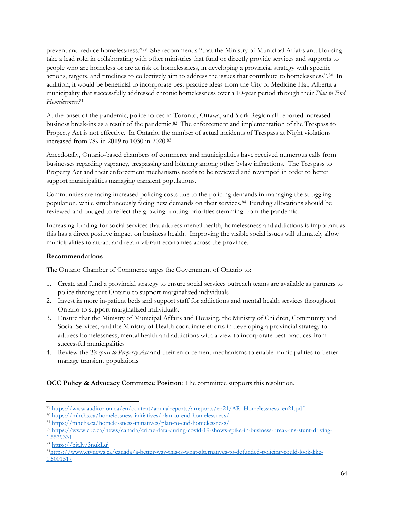prevent and reduce homelessness."<sup>79</sup> She recommends "that the Ministry of Municipal Affairs and Housing take a lead role, in collaborating with other ministries that fund or directly provide services and supports to people who are homeless or are at risk of homelessness, in developing a provincial strategy with specific actions, targets, and timelines to collectively aim to address the issues that contribute to homelessness".<sup>80</sup> In addition, it would be beneficial to incorporate best practice ideas from the City of Medicine Hat, Alberta a municipality that successfully addressed chronic homelessness over a 10-year period through their *Plan to End Homelessness*. 81

At the onset of the pandemic, police forces in Toronto, Ottawa, and York Region all reported increased business break-ins as a result of the pandemic.<sup>82</sup> The enforcement and implementation of the Trespass to Property Act is not effective. In Ontario, the number of actual incidents of Trespass at Night violations increased from 789 in 2019 to 1030 in 2020.<sup>83</sup>

Anecdotally, Ontario-based chambers of commerce and municipalities have received numerous calls from businesses regarding vagrancy, trespassing and loitering among other bylaw infractions. The Trespass to Property Act and their enforcement mechanisms needs to be reviewed and revamped in order to better support municipalities managing transient populations.

Communities are facing increased policing costs due to the policing demands in managing the struggling population, while simultaneously facing new demands on their services.<sup>84</sup> Funding allocations should be reviewed and budged to reflect the growing funding priorities stemming from the pandemic.

Increasing funding for social services that address mental health, homelessness and addictions is important as this has a direct positive impact on business health. Improving the visible social issues will ultimately allow municipalities to attract and retain vibrant economies across the province.

#### **Recommendations**

The Ontario Chamber of Commerce urges the Government of Ontario to:

- 1. Create and fund a provincial strategy to ensure social services outreach teams are available as partners to police throughout Ontario to support marginalized individuals
- 2. Invest in more in-patient beds and support staff for addictions and mental health services throughout Ontario to support marginalized individuals.
- 3. Ensure that the Ministry of Municipal Affairs and Housing, the Ministry of Children, Community and Social Services, and the Ministry of Health coordinate efforts in developing a provincial strategy to address homelessness, mental health and addictions with a view to incorporate best practices from successful municipalities
- 4. Review the *Trespass to Property Act* and their enforcement mechanisms to enable municipalities to better manage transient populations

<sup>79</sup> [https://www.auditor.on.ca/en/content/annualreports/arreports/en21/AR\\_Homelessness\\_en21.pdf](https://www.auditor.on.ca/en/content/annualreports/arreports/en21/AR_Homelessness_en21.pdf)

<sup>80</sup> <https://mhchs.ca/homelessness-initiatives/plan-to-end-homelessness/>

<sup>81</sup> <https://mhchs.ca/homelessness-initiatives/plan-to-end-homelessness/>

<sup>82</sup> [https://www.cbc.ca/news/canada/crime-data-during-covid-19-shows-spike-in-business-break-ins-stunt-driving-](https://www.cbc.ca/news/canada/crime-data-during-covid-19-shows-spike-in-business-break-ins-stunt-driving-1.5539331)[1.5539331](https://www.cbc.ca/news/canada/crime-data-during-covid-19-shows-spike-in-business-break-ins-stunt-driving-1.5539331)

<sup>83</sup> <https://bit.ly/3nqkLqj>

<sup>84</sup>[https://www.ctvnews.ca/canada/a-better-way-this-is-what-alternatives-to-defunded-policing-could-look-like-](https://www.ctvnews.ca/canada/a-better-way-this-is-what-alternatives-to-defunded-policing-could-look-like-1.5001517)[1.5001517](https://www.ctvnews.ca/canada/a-better-way-this-is-what-alternatives-to-defunded-policing-could-look-like-1.5001517)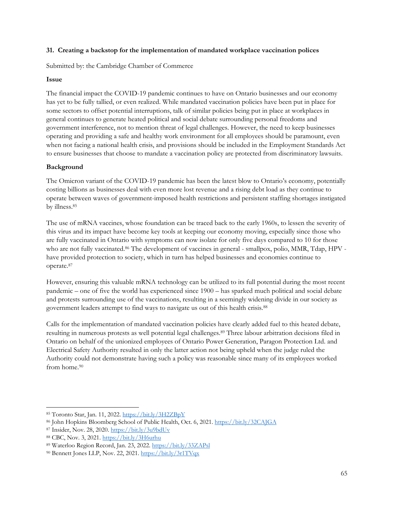#### <span id="page-64-0"></span>**31. Creating a backstop for the implementation of mandated workplace vaccination polices**

Submitted by: the Cambridge Chamber of Commerce

#### **Issue**

The financial impact the COVID-19 pandemic continues to have on Ontario businesses and our economy has yet to be fully tallied, or even realized. While mandated vaccination policies have been put in place for some sectors to offset potential interruptions, talk of similar policies being put in place at workplaces in general continues to generate heated political and social debate surrounding personal freedoms and government interference, not to mention threat of legal challenges. However, the need to keep businesses operating and providing a safe and healthy work environment for all employees should be paramount, even when not facing a national health crisis, and provisions should be included in the Employment Standards Act to ensure businesses that choose to mandate a vaccination policy are protected from discriminatory lawsuits.

#### **Background**

The Omicron variant of the COVID-19 pandemic has been the latest blow to Ontario's economy, potentially costing billions as businesses deal with even more lost revenue and a rising debt load as they continue to operate between waves of government-imposed health restrictions and persistent staffing shortages instigated by illness.<sup>85</sup>

The use of mRNA vaccines, whose foundation can be traced back to the early 1960s, to lessen the severity of this virus and its impact have become key tools at keeping our economy moving, especially since those who are fully vaccinated in Ontario with symptoms can now isolate for only five days compared to 10 for those who are not fully vaccinated.<sup>86</sup> The development of vaccines in general - smallpox, polio, MMR, Tdap, HPV have provided protection to society, which in turn has helped businesses and economies continue to operate.<sup>87</sup>

However, ensuring this valuable mRNA technology can be utilized to its full potential during the most recent pandemic – one of five the world has experienced since 1900 – has sparked much political and social debate and protests surrounding use of the vaccinations, resulting in a seemingly widening divide in our society as government leaders attempt to find ways to navigate us out of this health crisis.<sup>88</sup>

Calls for the implementation of mandated vaccination policies have clearly added fuel to this heated debate, resulting in numerous protests as well potential legal challenges.<sup>89</sup> Three labour arbitration decisions filed in Ontario on behalf of the unionized employees of Ontario Power Generation, Paragon Protection Ltd. and Electrical Safety Authority resulted in only the latter action not being upheld when the judge ruled the Authority could not demonstrate having such a policy was reasonable since many of its employees worked from home.<sup>90</sup>

<sup>87</sup> Insider, Nov. 28, 2020.<https://bit.ly/3u9bdUv>

<sup>85</sup> Toronto Star, Jan. 11, 2022.<https://bit.ly/3H2ZBpY>

<sup>86</sup> John Hopkins Bloomberg School of Public Health, Oct. 6, 2021[. https://bit.ly/32CAJGA](https://bit.ly/32CAJGA)

<sup>88</sup> CBC, Nov. 3, 2021.<https://bit.ly/3H6urhu>

<sup>89</sup> Waterloo Region Record, Jan. 23, 2022.<https://bit.ly/33ZAPsl>

<sup>90</sup> Bennett Jones LLP, Nov. 22, 2021.<https://bit.ly/3r1TVqx>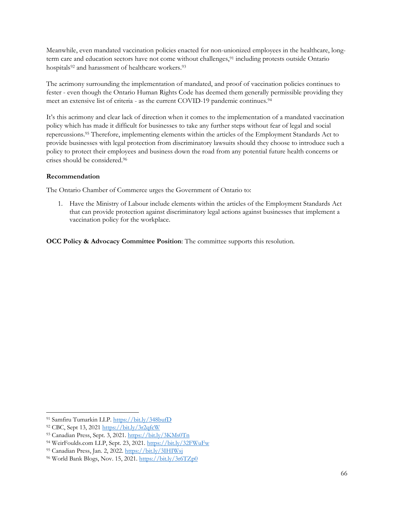Meanwhile, even mandated vaccination policies enacted for non-unionized employees in the healthcare, longterm care and education sectors have not come without challenges,<sup>91</sup> including protests outside Ontario hospitals<sup>92</sup> and harassment of healthcare workers.<sup>93</sup>

The acrimony surrounding the implementation of mandated, and proof of vaccination policies continues to fester - even though the Ontario Human Rights Code has deemed them generally permissible providing they meet an extensive list of criteria - as the current COVID-19 pandemic continues.<sup>94</sup>

It's this acrimony and clear lack of direction when it comes to the implementation of a mandated vaccination policy which has made it difficult for businesses to take any further steps without fear of legal and social repercussions.<sup>95</sup> Therefore, implementing elements within the articles of the Employment Standards Act to provide businesses with legal protection from discriminatory lawsuits should they choose to introduce such a policy to protect their employees and business down the road from any potential future health concerns or crises should be considered.<sup>96</sup>

#### **Recommendation**

The Ontario Chamber of Commerce urges the Government of Ontario to:

1. Have the Ministry of Labour include elements within the articles of the Employment Standards Act that can provide protection against discriminatory legal actions against businesses that implement a vaccination policy for the workplace.

<sup>91</sup> Samfiru Tumarkin LLP.<https://bit.ly/348bufD>

<sup>92</sup> CBC, Sept 13, 2021<https://bit.ly/3r2qfcW>

<sup>93</sup> Canadian Press, Sept. 3, 2021[. https://bit.ly/3KMs0Tn](https://bit.ly/3KMs0Tn)

<sup>94</sup> WeirFoulds.com LLP, Sept. 23, 2021.<https://bit.ly/32FWuFw>

<sup>95</sup> Canadian Press, Jan. 2, 2022.<https://bit.ly/3IHIWsj>

<sup>96</sup> World Bank Blogs, Nov. 15, 2021.<https://bit.ly/3r6TZp0>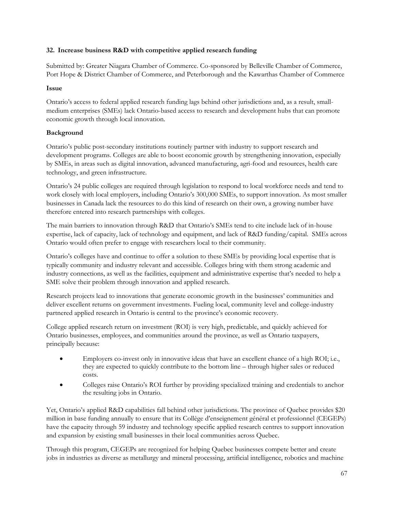# <span id="page-66-0"></span>**32. Increase business R&D with competitive applied research funding**

Submitted by: Greater Niagara Chamber of Commerce. Co-sponsored by Belleville Chamber of Commerce, Port Hope & District Chamber of Commerce, and Peterborough and the Kawarthas Chamber of Commerce

#### **Issue**

Ontario's access to federal applied research funding lags behind other jurisdictions and, as a result, smallmedium enterprises (SMEs) lack Ontario-based access to research and development hubs that can promote economic growth through local innovation.

# **Background**

Ontario's public post-secondary institutions routinely partner with industry to support research and development programs. Colleges are able to boost economic growth by strengthening innovation, especially by SMEs, in areas such as digital innovation, advanced manufacturing, agri-food and resources, health care technology, and green infrastructure.

Ontario's 24 public colleges are required through legislation to respond to local workforce needs and tend to work closely with local employers, including Ontario's 300,000 SMEs, to support innovation. As most smaller businesses in Canada lack the resources to do this kind of research on their own, a growing number have therefore entered into research partnerships with colleges.

The main barriers to innovation through R&D that Ontario's SMEs tend to cite include lack of in-house expertise, lack of capacity, lack of technology and equipment, and lack of R&D funding/capital. SMEs across Ontario would often prefer to engage with researchers local to their community.

Ontario's colleges have and continue to offer a solution to these SMEs by providing local expertise that is typically community and industry relevant and accessible. Colleges bring with them strong academic and industry connections, as well as the facilities, equipment and administrative expertise that's needed to help a SME solve their problem through innovation and applied research.

Research projects lead to innovations that generate economic growth in the businesses' communities and deliver excellent returns on government investments. Fueling local, community level and college-industry partnered applied research in Ontario is central to the province's economic recovery.

College applied research return on investment (ROI) is very high, predictable, and quickly achieved for Ontario businesses, employees, and communities around the province, as well as Ontario taxpayers, principally because:

- Employers co-invest only in innovative ideas that have an excellent chance of a high ROI; i.e., they are expected to quickly contribute to the bottom line – through higher sales or reduced costs.
- Colleges raise Ontario's ROI further by providing specialized training and credentials to anchor the resulting jobs in Ontario.

Yet, Ontario's applied R&D capabilities fall behind other jurisdictions. The province of Quebec provides \$20 million in base funding annually to ensure that its Collège d'enseignement général et professionnel (CEGEPs) have the capacity through 59 industry and technology specific applied research centres to support innovation and expansion by existing small businesses in their local communities across Quebec.

Through this program, CEGEPs are recognized for helping Quebec businesses compete better and create jobs in industries as diverse as metallurgy and mineral processing, artificial intelligence, robotics and machine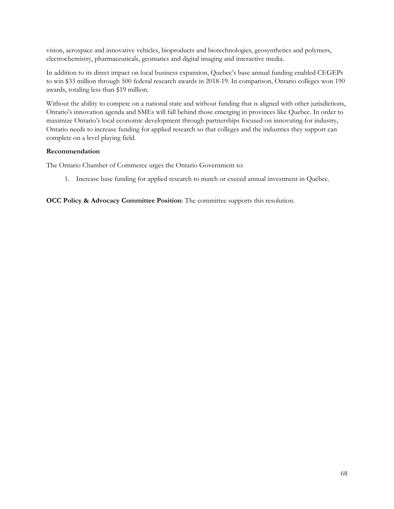vision, aerospace and innovative vehicles, bioproducts and biotechnologies, geosynthetics and polymers, electrochemistry, pharmaceuticals, geomatics and digital imaging and interactive media.

In addition to its direct impact on local business expansion, Quebec's base annual funding enabled CEGEPs to win \$33 million through 500 federal research awards in 2018-19. In comparison, Ontario colleges won 190 awards, totaling less than \$19 million.

Without the ability to compete on a national state and without funding that is aligned with other jurisdictions, Ontario's innovation agenda and SMEs will fall behind those emerging in provinces like Quebec. In order to maximize Ontario's local economic development through partnerships focused on innovating for industry, Ontario needs to increase funding for applied research so that colleges and the industries they support can complete on a level playing field.

#### **Recommendation**

The Ontario Chamber of Commerce urges the Ontario Government to:

1. Increase base funding for applied research to match or exceed annual investment in Québec.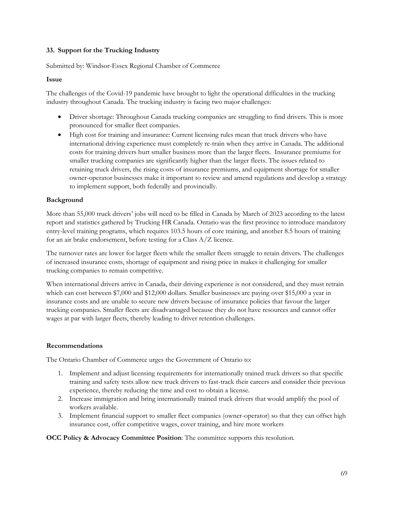#### <span id="page-68-0"></span>**33. Support for the Trucking Industry**

Submitted by: Windsor-Essex Regional Chamber of Commerce

#### **Issue**

The challenges of the Covid-19 pandemic have brought to light the operational difficulties in the trucking industry throughout Canada. The trucking industry is facing two major challenges:

- Driver shortage: Throughout Canada trucking companies are struggling to find drivers. This is more pronounced for smaller fleet companies.
- High cost for training and insurance: Current licensing rules mean that truck drivers who have international driving experience must completely re-train when they arrive in Canada. The additional costs for training drivers hurt smaller business more than the larger fleets. Insurance premiums for smaller trucking companies are significantly higher than the larger fleets. The issues related to retaining truck drivers, the rising costs of insurance premiums, and equipment shortage for smaller owner-operator businesses make it important to review and amend regulations and develop a strategy to implement support, both federally and provincially.

# **Background**

More than 55,000 truck drivers' jobs will need to be filled in Canada by March of 2023 according to the latest report and statistics gathered by Trucking HR Canada. Ontario was the first province to introduce mandatory entry-level training programs, which requires 103.5 hours of core training, and another 8.5 hours of training for an air brake endorsement, before testing for a Class A/Z licence.

The turnover rates are lower for larger fleets while the smaller fleets struggle to retain drivers. The challenges of increased insurance costs, shortage of equipment and rising price in makes it challenging for smaller trucking companies to remain competitive.

When international drivers arrive in Canada, their driving experience is not considered, and they must retrain which can cost between \$7,000 and \$12,000 dollars. Smaller businesses are paying over \$15,000 a year in insurance costs and are unable to secure new drivers because of insurance policies that favour the larger trucking companies. Smaller fleets are disadvantaged because they do not have resources and cannot offer wages at par with larger fleets, thereby leading to driver retention challenges.

#### **Recommendations**

The Ontario Chamber of Commerce urges the Government of Ontario to:

- 1. Implement and adjust licensing requirements for internationally trained truck drivers so that specific training and safety tests allow new truck drivers to fast-track their careers and consider their previous experience, thereby reducing the time and cost to obtain a license.
- 2. Increase immigration and bring internationally trained truck drivers that would amplify the pool of workers available.
- 3. Implement financial support to smaller fleet companies (owner-operator) so that they can offset high insurance cost, offer competitive wages, cover training, and hire more workers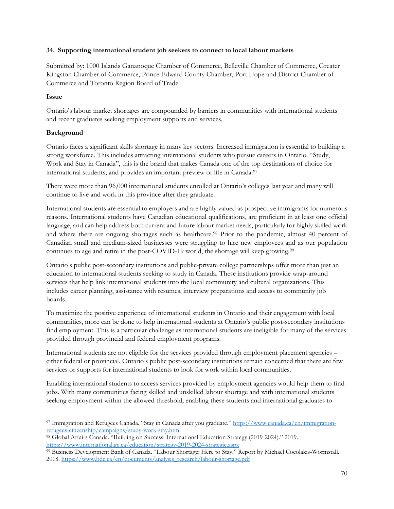#### <span id="page-69-0"></span>**34. Supporting international student job seekers to connect to local labour markets**

Submitted by: 1000 Islands Gananoque Chamber of Commerce, Belleville Chamber of Commerce, Greater Kingston Chamber of Commerce, Prince Edward County Chamber, Port Hope and District Chamber of Commerce and Toronto Region Board of Trade

# **Issue**

Ontario's labour market shortages are compounded by barriers in communities with international students and recent graduates seeking employment supports and services.

# **Background**

Ontario faces a significant skills shortage in many key sectors. Increased immigration is essential to building a strong workforce. This includes attracting international students who pursue careers in Ontario. "Study, Work and Stay in Canada", this is the brand that makes Canada one of the top destinations of choice for international students, and provides an important preview of life in Canada.<sup>97</sup>

There were more than 96,000 international students enrolled at Ontario's colleges last year and many will continue to live and work in this province after they graduate.

International students are essential to employers and are highly valued as prospective immigrants for numerous reasons. International students have Canadian educational qualifications, are proficient in at least one official language, and can help address both current and future labour market needs, particularly for highly skilled work and where there are ongoing shortages such as healthcare.<sup>98</sup> Prior to the pandemic, almost 40 percent of Canadian small and medium-sized businesses were struggling to hire new employees and as our population continues to age and retire in the post-COVID-19 world, the shortage will keep growing.<sup>99</sup>

Ontario's public post-secondary institutions and public-private college partnerships offer more than just an education to international students seeking to study in Canada. These institutions provide wrap-around services that help link international students into the local community and cultural organizations. This includes career planning, assistance with resumes, interview preparations and access to community job boards.

To maximize the positive experience of international students in Ontario and their engagement with local communities, more can be done to help international students at Ontario's public post-secondary institutions find employment. This is a particular challenge as international students are ineligible for many of the services provided through provincial and federal employment programs.

International students are not eligible for the services provided through employment placement agencies – either federal or provincial. Ontario's public post-secondary institutions remain concerned that there are few services or supports for international students to look for work within local communities.

Enabling international students to access services provided by employment agencies would help them to find jobs. With many communities facing skilled and unskilled labour shortage and with international students seeking employment within the allowed threshold, enabling these students and international graduates to

<sup>97</sup> Immigration and Refugees Canada. "Stay in Canada after you graduate." [https://www.canada.ca/en/immigration](https://www.canada.ca/en/immigration-refugees-citizenship/campaigns/study-work-stay.html)[refugees-citizenship/campaigns/study-work-stay.html](https://www.canada.ca/en/immigration-refugees-citizenship/campaigns/study-work-stay.html)

<sup>98</sup> Global Affairs Canada. "Building on Success: International Education Strategy (2019-2024)." 2019. <https://www.international.gc.ca/education/strategy-2019-2024-strategie.aspx>

<sup>99</sup> Business Development Bank of Canada. "Labour Shortage: Here to Stay." Report by Michael Cocolakis-Wormstall. 2018. [https://www.bdc.ca/en/documents/analysis\\_research/labour-shortage.pdf](https://www.bdc.ca/en/documents/analysis_research/labour-shortage.pdf)